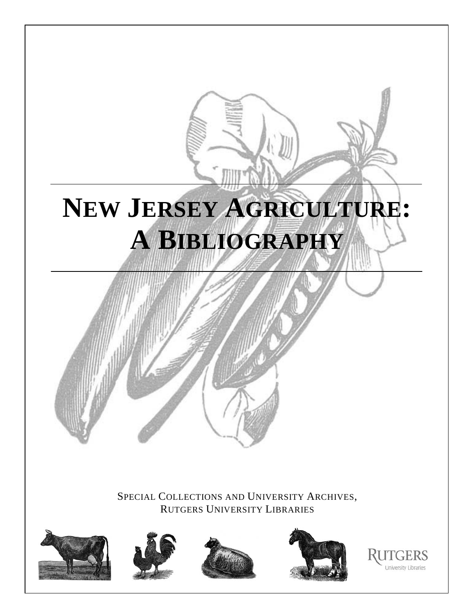# **NEW JERSEY AGRICULTURE: A BIBLIOGRAPHY**

SPECIAL COLLECTIONS AND UNIVERSITY ARCHIVES, RUTGERS UNIVERSITY LIBRARIES









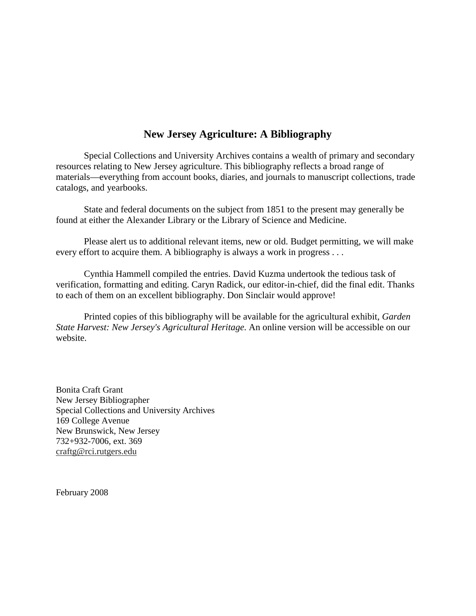# **New Jersey Agriculture: A Bibliography**

Special Collections and University Archives contains a wealth of primary and secondary resources relating to New Jersey agriculture. This bibliography reflects a broad range of materials—everything from account books, diaries, and journals to manuscript collections, trade catalogs, and yearbooks.

State and federal documents on the subject from 1851 to the present may generally be found at either the Alexander Library or the Library of Science and Medicine.

Please alert us to additional relevant items, new or old. Budget permitting, we will make every effort to acquire them. A bibliography is always a work in progress . . .

Cynthia Hammell compiled the entries. David Kuzma undertook the tedious task of verification, formatting and editing. Caryn Radick, our editor-in-chief, did the final edit. Thanks to each of them on an excellent bibliography. Don Sinclair would approve!

Printed copies of this bibliography will be available for the agricultural exhibit, *Garden State Harvest: New Jersey's Agricultural Heritage*. An online version will be accessible on our website.

Bonita Craft Grant New Jersey Bibliographer Special Collections and University Archives 169 College Avenue New Brunswick, New Jersey 732+932-7006, ext. 369 craftg@rci.rutgers.edu

February 2008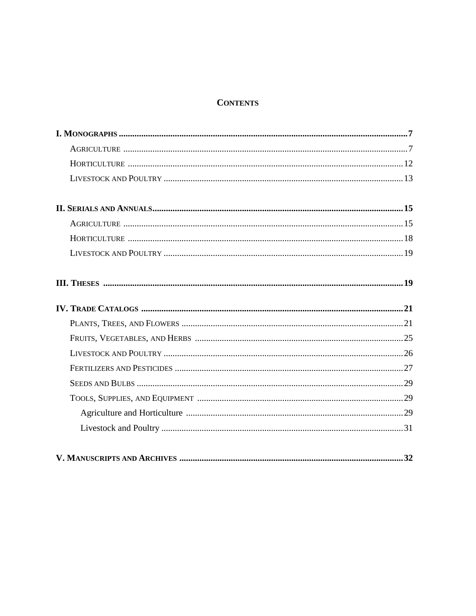# **CONTENTS**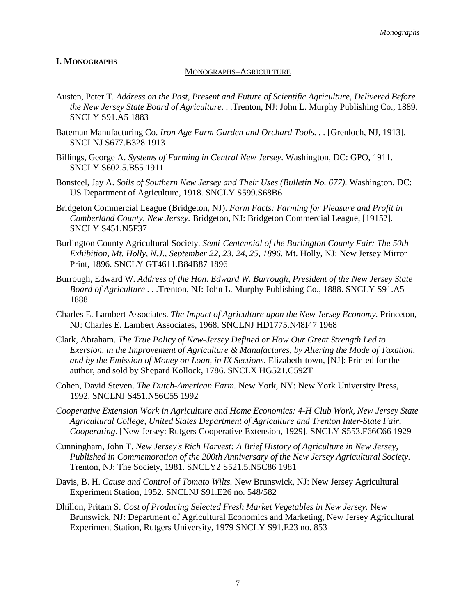# **I. MONOGRAPHS**

# MONOGRAPHS–AGRICULTURE

- Austen, Peter T. *Address on the Past, Present and Future of Scientific Agriculture, Delivered Before the New Jersey State Board of Agriculture. . .*Trenton, NJ: John L. Murphy Publishing Co., 1889. SNCLY S91.A5 1883
- Bateman Manufacturing Co. *Iron Age Farm Garden and Orchard Tools.* . . [Grenloch, NJ, 1913]. SNCLNJ S677.B328 1913
- Billings, George A. *Systems of Farming in Central New Jersey*. Washington, DC: GPO, 1911. SNCLY S602.5.B55 1911
- Bonsteel, Jay A. *Soils of Southern New Jersey and Their Uses (Bulletin No. 677).* Washington, DC: US Department of Agriculture, 1918. SNCLY S599.S68B6
- Bridgeton Commercial League (Bridgeton, NJ). *Farm Facts: Farming for Pleasure and Profit in Cumberland County, New Jersey.* Bridgeton, NJ: Bridgeton Commercial League, [1915?]. SNCLY S451.N5F37
- Burlington County Agricultural Society. *Semi-Centennial of the Burlington County Fair: The 50th Exhibition, Mt. Holly, N.J., September 22, 23, 24, 25, 1896.* Mt. Holly, NJ: New Jersey Mirror Print, 1896. SNCLY GT4611.B84B87 1896
- Burrough, Edward W. *Address of the Hon. Edward W. Burrough, President of the New Jersey State Board of Agriculture . . .*Trenton, NJ: John L. Murphy Publishing Co., 1888. SNCLY S91.A5 1888
- Charles E. Lambert Associates. *The Impact of Agriculture upon the New Jersey Economy.* Princeton, NJ: Charles E. Lambert Associates, 1968. SNCLNJ HD1775.N48I47 1968
- Clark, Abraham. *The True Policy of New-Jersey Defined or How Our Great Strength Led to Exersion, in the Improvement of Agriculture & Manufactures, by Altering the Mode of Taxation, and by the Emission of Money on Loan, in IX Sections.* Elizabeth-town, [NJ]: Printed for the author, and sold by Shepard Kollock, 1786. SNCLX HG521.C592T
- Cohen, David Steven. *The Dutch-American Farm.* New York, NY: New York University Press, 1992. SNCLNJ S451.N56C55 1992
- *Cooperative Extension Work in Agriculture and Home Economics: 4-H Club Work, New Jersey State Agricultural College, United States Department of Agriculture and Trenton Inter-State Fair, Cooperating*. [New Jersey: Rutgers Cooperative Extension, 1929]. SNCLY S553.F66C66 1929
- Cunningham, John T. *New Jersey's Rich Harvest: A Brief History of Agriculture in New Jersey, Published in Commemoration of the 200th Anniversary of the New Jersey Agricultural Society.* Trenton, NJ: The Society, 1981. SNCLY2 S521.5.N5C86 1981
- Davis, B. H. *Cause and Control of Tomato Wilts.* New Brunswick, NJ: New Jersey Agricultural Experiment Station, 1952. SNCLNJ S91.E26 no. 548/582
- Dhillon, Pritam S. *Cost of Producing Selected Fresh Market Vegetables in New Jersey.* New Brunswick, NJ: Department of Agricultural Economics and Marketing, New Jersey Agricultural Experiment Station, Rutgers University, 1979 SNCLY S91.E23 no. 853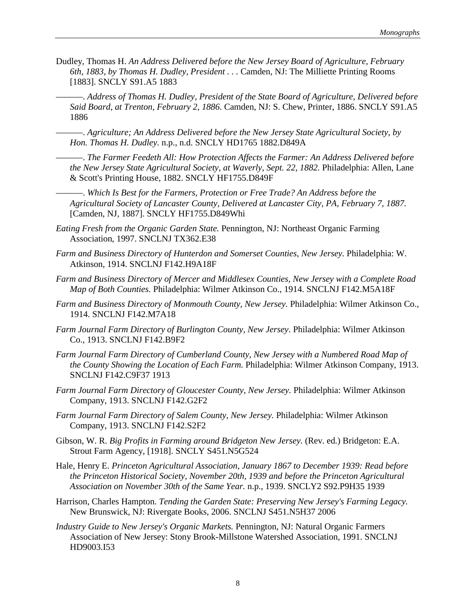Dudley, Thomas H. *An Address Delivered before the New Jersey Board of Agriculture, February 6th, 1883, by Thomas H. Dudley, President . . .* Camden, NJ: The Milliette Printing Rooms [1883]. SNCLY S91.A5 1883

———. *Address of Thomas H. Dudley, President of the State Board of Agriculture, Delivered before Said Board, at Trenton, February 2, 1886*. Camden, NJ: S. Chew, Printer, 1886. SNCLY S91.A5 1886

———. *Agriculture; An Address Delivered before the New Jersey State Agricultural Society, by Hon. Thomas H. Dudley.* n.p., n.d. SNCLY HD1765 1882.D849A

———. *The Farmer Feedeth All: How Protection Affects the Farmer: An Address Delivered before the New Jersey State Agricultural Society, at Waverly, Sept. 22, 1882.* Philadelphia: Allen, Lane & Scott's Printing House, 1882. SNCLY HF1755.D849F

———. *Which Is Best for the Farmers, Protection or Free Trade? An Address before the Agricultural Society of Lancaster County, Delivered at Lancaster City, PA, February 7, 1887.* [Camden, NJ, 1887]. SNCLY HF1755.D849Whi

- *Eating Fresh from the Organic Garden State.* Pennington, NJ: Northeast Organic Farming Association, 1997. SNCLNJ TX362.E38
- *Farm and Business Directory of Hunterdon and Somerset Counties, New Jersey.* Philadelphia: W. Atkinson, 1914. SNCLNJ F142.H9A18F
- *Farm and Business Directory of Mercer and Middlesex Counties, New Jersey with a Complete Road Map of Both Counties.* Philadelphia: Wilmer Atkinson Co., 1914. SNCLNJ F142.M5A18F
- *Farm and Business Directory of Monmouth County, New Jersey.* Philadelphia: Wilmer Atkinson Co., 1914. SNCLNJ F142.M7A18
- *Farm Journal Farm Directory of Burlington County, New Jersey*. Philadelphia: Wilmer Atkinson Co., 1913. SNCLNJ F142.B9F2
- *Farm Journal Farm Directory of Cumberland County, New Jersey with a Numbered Road Map of the County Showing the Location of Each Farm.* Philadelphia: Wilmer Atkinson Company, 1913. SNCLNJ F142.C9F37 1913
- *Farm Journal Farm Directory of Gloucester County, New Jersey.* Philadelphia: Wilmer Atkinson Company, 1913. SNCLNJ F142.G2F2
- *Farm Journal Farm Directory of Salem County, New Jersey.* Philadelphia: Wilmer Atkinson Company, 1913. SNCLNJ F142.S2F2
- Gibson, W. R. *Big Profits in Farming around Bridgeton New Jersey.* (Rev. ed*.*) Bridgeton: E.A. Strout Farm Agency, [1918]. SNCLY S451.N5G524
- Hale, Henry E. *Princeton Agricultural Association, January 1867 to December 1939: Read before the Princeton Historical Society, November 20th, 1939 and before the Princeton Agricultural Association on November 30th of the Same Year.* n.p., 1939. SNCLY2 S92.P9H35 1939
- Harrison, Charles Hampton. *Tending the Garden State: Preserving New Jersey's Farming Legacy.* New Brunswick, NJ: Rivergate Books, 2006. SNCLNJ S451.N5H37 2006
- *Industry Guide to New Jersey's Organic Markets.* Pennington, NJ: Natural Organic Farmers Association of New Jersey: Stony Brook-Millstone Watershed Association, 1991. SNCLNJ HD9003.I53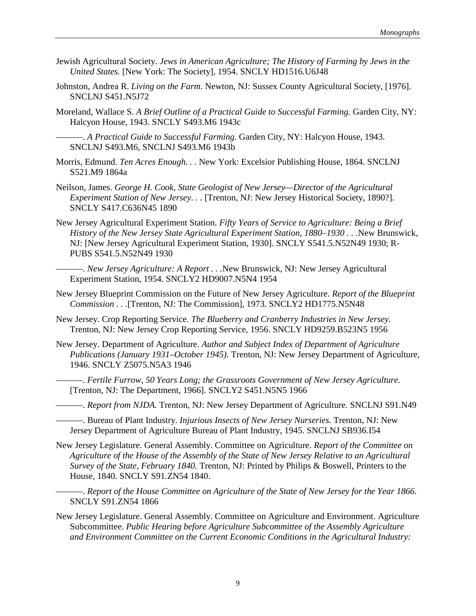- Jewish Agricultural Society. *Jews in American Agriculture; The History of Farming by Jews in the United States.* [New York: The Society], 1954. SNCLY HD1516.U6J48
- Johnston, Andrea R. *Living on the Farm*. Newton, NJ: Sussex County Agricultural Society, [1976]. SNCLNJ S451.N5J72
- Moreland, Wallace S. *A Brief Outline of a Practical Guide to Successful Farming. Garden City, NY*: Halcyon House, 1943. SNCLY S493.M6 1943c
	- ———. *A Practical Guide to Successful Farming.* Garden City, NY: Halcyon House, 1943. SNCLNJ S493.M6, SNCLNJ S493.M6 1943b
- Morris, Edmund. *Ten Acres Enough. . .* New York: Excelsior Publishing House, 1864. SNCLNJ S521.M9 1864a
- Neilson, James. *George H. Cook, State Geologist of New Jersey—Director of the Agricultural Experiment Station of New Jersey. . .* [Trenton, NJ: New Jersey Historical Society, 1890?]. SNCLY S417.C636N45 1890
- New Jersey Agricultural Experiment Station. *Fifty Years of Service to Agriculture: Being a Brief History of the New Jersey State Agricultural Experiment Station, 1880–1930 . . .*New Brunswick, NJ: [New Jersey Agricultural Experiment Station, 1930]. SNCLY S541.5.N52N49 1930; R-PUBS S541.5.N52N49 1930
	- ———. *New Jersey Agriculture: A Report . . .*New Brunswick, NJ: New Jersey Agricultural Experiment Station, 1954. SNCLY2 HD9007.N5N4 1954
- New Jersey Blueprint Commission on the Future of New Jersey Agriculture. *Report of the Blueprint Commission . . .*[Trenton, NJ: The Commission], 1973. SNCLY2 HD1775.N5N48
- New Jersey. Crop Reporting Service. *The Blueberry and Cranberry Industries in New Jersey.* Trenton, NJ: New Jersey Crop Reporting Service, 1956. SNCLY HD9259.B523N5 1956
- New Jersey. Department of Agriculture. *Author and Subject Index of Department of Agriculture Publications (January 1931–October 1945).* Trenton, NJ: New Jersey Department of Agriculture, 1946. SNCLY Z5075.N5A3 1946
	- ———. *Fertile Furrow, 50 Years Long; the Grassroots Government of New Jersey Agriculture.* [Trenton, NJ: The Department, 1966]. SNCLY2 S451.N5N5 1966
	- ———. *Report from NJDA.* Trenton, NJ: New Jersey Department of Agriculture. SNCLNJ S91.N49
	- ———. Bureau of Plant Industry. *Injurious Insects of New Jersey Nurseries.* Trenton, NJ: New Jersey Department of Agriculture Bureau of Plant Industry, 1945. SNCLNJ SB936.I54
- New Jersey Legislature. General Assembly. Committee on Agriculture. *Report of the Committee on Agriculture of the House of the Assembly of the State of New Jersey Relative to an Agricultural Survey of the State, February 1840.* Trenton, NJ: Printed by Philips & Boswell, Printers to the House, 1840. SNCLY S91.ZN54 1840.
	- ———. *Report of the House Committee on Agriculture of the State of New Jersey for the Year 1866.* SNCLY S91.ZN54 1866
- New Jersey Legislature. General Assembly. Committee on Agriculture and Environment. Agriculture Subcommittee. *Public Hearing before Agriculture Subcommittee of the Assembly Agriculture and Environment Committee on the Current Economic Conditions in the Agricultural Industry:*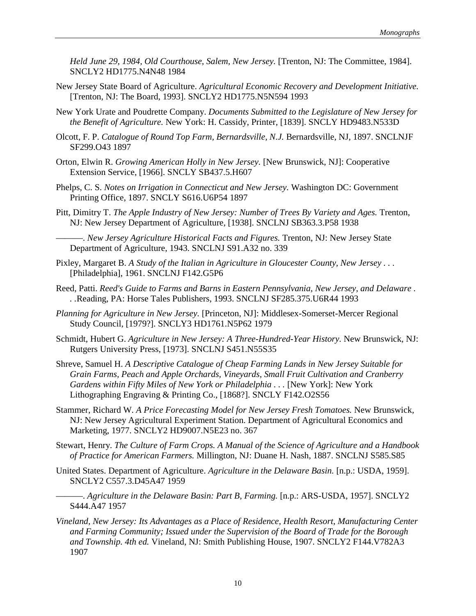*Held June 29, 1984, Old Courthouse, Salem, New Jersey.* [Trenton, NJ: The Committee, 1984]. SNCLY2 HD1775.N4N48 1984

- New Jersey State Board of Agriculture. *Agricultural Economic Recovery and Development Initiative.* [Trenton, NJ: The Board, 1993]. SNCLY2 HD1775.N5N594 1993
- New York Urate and Poudrette Company. *Documents Submitted to the Legislature of New Jersey for the Benefit of Agriculture.* New York: H. Cassidy, Printer, [1839]. SNCLY HD9483.N533D
- Olcott, F. P. *Catalogue of Round Top Farm, Bernardsville, N.J.* Bernardsville, NJ, 1897. SNCLNJF SF299.O43 1897
- Orton, Elwin R. *Growing American Holly in New Jersey.* [New Brunswick, NJ]: Cooperative Extension Service, [1966]. SNCLY SB437.5.H607
- Phelps, C. S. *Notes on Irrigation in Connecticut and New Jersey.* Washington DC: Government Printing Office, 1897. SNCLY S616.U6P54 1897
- Pitt, Dimitry T. *The Apple Industry of New Jersey: Number of Trees By Variety and Ages.* Trenton, NJ: New Jersey Department of Agriculture, [1938]. SNCLNJ SB363.3.P58 1938

———. *New Jersey Agriculture Historical Facts and Figures.* Trenton, NJ: New Jersey State Department of Agriculture, 1943. SNCLNJ S91.A32 no. 339

- Pixley, Margaret B. *A Study of the Italian in Agriculture in Gloucester County, New Jersey . . .* [Philadelphia], 1961. SNCLNJ F142.G5P6
- Reed, Patti. *Reed's Guide to Farms and Barns in Eastern Pennsylvania, New Jersey, and Delaware . . .*Reading, PA: Horse Tales Publishers, 1993. SNCLNJ SF285.375.U6R44 1993
- *Planning for Agriculture in New Jersey.* [Princeton, NJ]: Middlesex-Somerset-Mercer Regional Study Council, [1979?]. SNCLY3 HD1761.N5P62 1979
- Schmidt, Hubert G. *Agriculture in New Jersey: A Three-Hundred-Year History.* New Brunswick, NJ: Rutgers University Press, [1973]. SNCLNJ S451.N55S35
- Shreve, Samuel H. *A Descriptive Catalogue of Cheap Farming Lands in New Jersey Suitable for Grain Farms, Peach and Apple Orchards, Vineyards, Small Fruit Cultivation and Cranberry Gardens within Fifty Miles of New York or Philadelphia ...* [New York]: New York Lithographing Engraving & Printing Co., [1868?]. SNCLY F142.O2S56
- Stammer, Richard W. *A Price Forecasting Model for New Jersey Fresh Tomatoes.* New Brunswick, NJ: New Jersey Agricultural Experiment Station. Department of Agricultural Economics and Marketing, 1977. SNCLY2 HD9007.N5E23 no. 367
- Stewart, Henry. *The Culture of Farm Crops. A Manual of the Science of Agriculture and a Handbook of Practice for American Farmers.* Millington, NJ: Duane H. Nash, 1887. SNCLNJ S585.S85
- United States. Department of Agriculture. *Agriculture in the Delaware Basin.* [n.p.: USDA, 1959]. SNCLY2 C557.3.D45A47 1959
- ———. *Agriculture in the Delaware Basin: Part B, Farming.* [n.p.: ARS-USDA, 1957]. SNCLY2 S444.A47 1957
- *Vineland, New Jersey: Its Advantages as a Place of Residence, Health Resort, Manufacturing Center and Farming Community; Issued under the Supervision of the Board of Trade for the Borough and Township. 4th ed.* Vineland, NJ: Smith Publishing House, 1907. SNCLY2 F144.V782A3 1907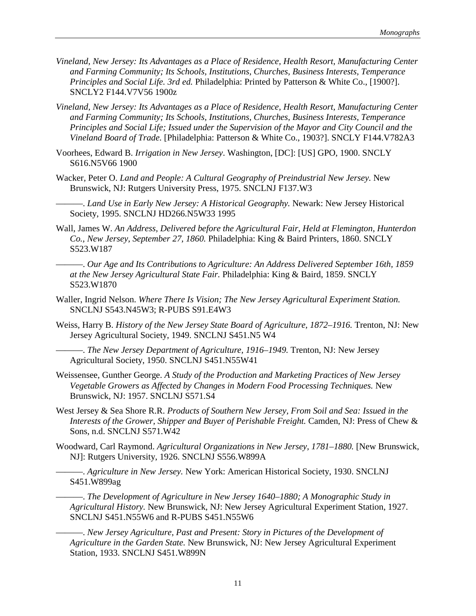- *Vineland, New Jersey: Its Advantages as a Place of Residence, Health Resort, Manufacturing Center and Farming Community; Its Schools, Institutions, Churches, Business Interests, Temperance Principles and Social Life. 3rd ed.* Philadelphia: Printed by Patterson & White Co., [1900?]. SNCLY2 F144.V7V56 1900z
- *Vineland, New Jersey: Its Advantages as a Place of Residence, Health Resort, Manufacturing Center and Farming Community; Its Schools, Institutions, Churches, Business Interests, Temperance Principles and Social Life; Issued under the Supervision of the Mayor and City Council and the Vineland Board of Trade.* [Philadelphia: Patterson & White Co., 1903?]. SNCLY F144.V782A3
- Voorhees, Edward B. *Irrigation in New Jersey*. Washington, [DC]: [US] GPO, 1900. SNCLY S616.N5V66 1900
- Wacker, Peter O. *Land and People: A Cultural Geography of Preindustrial New Jersey.* New Brunswick, NJ: Rutgers University Press, 1975. SNCLNJ F137.W3

———. *Land Use in Early New Jersey: A Historical Geography.* Newark: New Jersey Historical Society, 1995. SNCLNJ HD266.N5W33 1995

Wall, James W. *An Address, Delivered before the Agricultural Fair, Held at Flemington, Hunterdon Co., New Jersey, September 27, 1860.* Philadelphia: King & Baird Printers, 1860. SNCLY S523.W187

———. *Our Age and Its Contributions to Agriculture: An Address Delivered September 16th, 1859 at the New Jersey Agricultural State Fair.* Philadelphia: King & Baird, 1859. SNCLY S523.W1870

- Waller, Ingrid Nelson. *Where There Is Vision; The New Jersey Agricultural Experiment Station.* SNCLNJ S543.N45W3; R-PUBS S91.E4W3
- Weiss, Harry B. *History of the New Jersey State Board of Agriculture, 1872–1916*. Trenton, NJ: New Jersey Agricultural Society, 1949. SNCLNJ S451.N5 W4

———. *The New Jersey Department of Agriculture, 1916–1949.* Trenton, NJ: New Jersey Agricultural Society, 1950. SNCLNJ S451.N55W41

- Weissensee, Gunther George. *A Study of the Production and Marketing Practices of New Jersey Vegetable Growers as Affected by Changes in Modern Food Processing Techniques.* New Brunswick, NJ: 1957. SNCLNJ S571.S4
- West Jersey & Sea Shore R.R. *Products of Southern New Jersey, From Soil and Sea: Issued in the Interests of the Grower, Shipper and Buyer of Perishable Freight.* Camden, NJ: Press of Chew & Sons, n.d. SNCLNJ S571.W42
- Woodward, Carl Raymond. *Agricultural Organizations in New Jersey, 1781-1880*. [New Brunswick, NJ]: Rutgers University, 1926. SNCLNJ S556.W899A

———. *Agriculture in New Jersey.* New York: American Historical Society, 1930. SNCLNJ S451.W899ag

———. *The Development of Agriculture in New Jersey 1640–1880; A Monographic Study in Agricultural History.* New Brunswick, NJ: New Jersey Agricultural Experiment Station, 1927. SNCLNJ S451.N55W6 and R-PUBS S451.N55W6

———. *New Jersey Agriculture, Past and Present: Story in Pictures of the Development of Agriculture in the Garden State.* New Brunswick, NJ: New Jersey Agricultural Experiment Station, 1933. SNCLNJ S451.W899N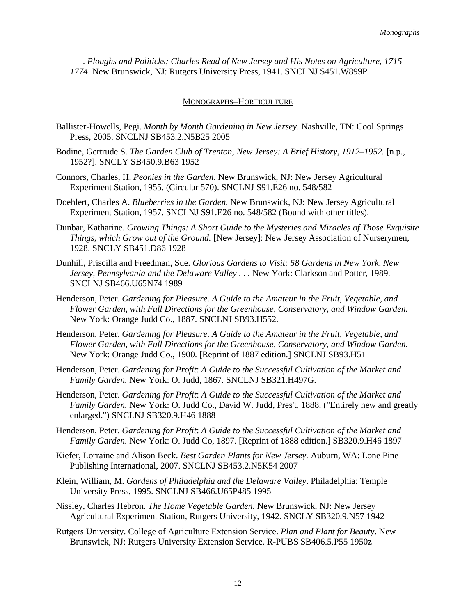———. *Ploughs and Politicks; Charles Read of New Jersey and His Notes on Agriculture, 1715– 1774*. New Brunswick, NJ: Rutgers University Press, 1941. SNCLNJ S451.W899P

#### MONOGRAPHS–HORTICULTURE

- Ballister-Howells, Pegi. *Month by Month Gardening in New Jersey.* Nashville, TN: Cool Springs Press, 2005. SNCLNJ SB453.2.N5B25 2005
- Bodine, Gertrude S. *The Garden Club of Trenton, New Jersey: A Brief History, 1912–1952.* [n.p., 1952?]. SNCLY SB450.9.B63 1952
- Connors, Charles, H. *Peonies in the Garden*. New Brunswick, NJ: New Jersey Agricultural Experiment Station, 1955. (Circular 570). SNCLNJ S91.E26 no. 548/582
- Doehlert, Charles A. *Blueberries in the Garden.* New Brunswick, NJ: New Jersey Agricultural Experiment Station, 1957. SNCLNJ S91.E26 no. 548/582 (Bound with other titles).
- Dunbar, Katharine. *Growing Things: A Short Guide to the Mysteries and Miracles of Those Exquisite Things, which Grow out of the Ground.* [New Jersey]: New Jersey Association of Nurserymen, 1928. SNCLY SB451.D86 1928
- Dunhill, Priscilla and Freedman, Sue. *Glorious Gardens to Visit: 58 Gardens in New York, New* Jersey, Pennsylvania and the Delaware Valley . . . New York: Clarkson and Potter, 1989. SNCLNJ SB466.U65N74 1989
- Henderson, Peter. *Gardening for Pleasure. A Guide to the Amateur in the Fruit, Vegetable, and Flower Garden, with Full Directions for the Greenhouse, Conservatory, and Window Garden.* New York: Orange Judd Co., 1887. SNCLNJ SB93.H552.
- Henderson, Peter. *Gardening for Pleasure. A Guide to the Amateur in the Fruit, Vegetable, and Flower Garden, with Full Directions for the Greenhouse, Conservatory, and Window Garden.* New York: Orange Judd Co., 1900. [Reprint of 1887 edition.] SNCLNJ SB93.H51
- Henderson, Peter. *Gardening for Profit*: *A Guide to the Successful Cultivation of the Market and Family Garden.* New York: O. Judd, 1867. SNCLNJ SB321.H497G.
- Henderson, Peter. *Gardening for Profit*: *A Guide to the Successful Cultivation of the Market and Family Garden.* New York: O. Judd Co., David W. Judd, Pres't, 1888. ("Entirely new and greatly enlarged.") SNCLNJ SB320.9.H46 1888
- Henderson, Peter. *Gardening for Profit*: *A Guide to the Successful Cultivation of the Market and Family Garden.* New York: O. Judd Co, 1897. [Reprint of 1888 edition.] SB320.9.H46 1897
- Kiefer, Lorraine and Alison Beck. *Best Garden Plants for New Jersey.* Auburn, WA: Lone Pine Publishing International, 2007. SNCLNJ SB453.2.N5K54 2007
- Klein, William, M. *Gardens of Philadelphia and the Delaware Valley*. Philadelphia: Temple University Press, 1995. SNCLNJ SB466.U65P485 1995
- Nissley, Charles Hebron. *The Home Vegetable Garden*. New Brunswick, NJ: New Jersey Agricultural Experiment Station, Rutgers University, 1942. SNCLY SB320.9.N57 1942
- Rutgers University. College of Agriculture Extension Service. *Plan and Plant for Beauty*. New Brunswick, NJ: Rutgers University Extension Service. R-PUBS SB406.5.P55 1950z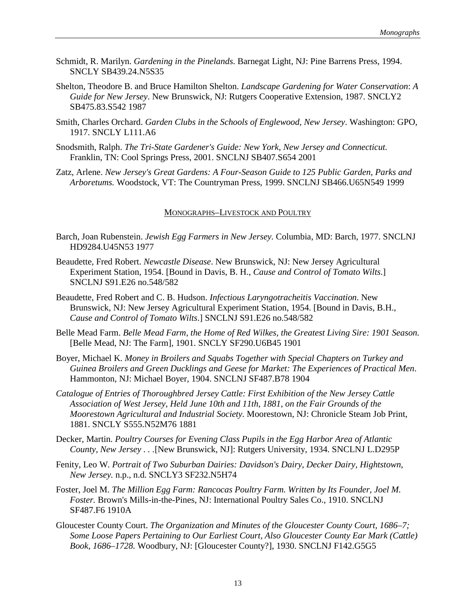- Schmidt, R. Marilyn. *Gardening in the Pinelands*. Barnegat Light, NJ: Pine Barrens Press, 1994. SNCLY SB439.24.N5S35
- Shelton, Theodore B. and Bruce Hamilton Shelton. *Landscape Gardening for Water Conservation*: *A Guide for New Jersey*. New Brunswick, NJ: Rutgers Cooperative Extension, 1987. SNCLY2 SB475.83.S542 1987
- Smith, Charles Orchard. *Garden Clubs in the Schools of Englewood, New Jersey*. Washington: GPO, 1917. SNCLY L111.A6
- Snodsmith, Ralph. *The Tri-State Gardener's Guide: New York, New Jersey and Connecticut.* Franklin, TN: Cool Springs Press, 2001. SNCLNJ SB407.S654 2001
- Zatz, Arlene. *New Jersey's Great Gardens: A Four-Season Guide to 125 Public Garden, Parks and Arboretums.* Woodstock, VT: The Countryman Press, 1999. SNCLNJ SB466.U65N549 1999

#### MONOGRAPHS–LIVESTOCK AND POULTRY

- Barch, Joan Rubenstein. *Jewish Egg Farmers in New Jersey.* Columbia, MD: Barch, 1977. SNCLNJ HD9284.U45N53 1977
- Beaudette, Fred Robert. *Newcastle Disease*. New Brunswick, NJ: New Jersey Agricultural Experiment Station, 1954. [Bound in Davis, B. H., *Cause and Control of Tomato Wilts*.] SNCLNJ S91.E26 no.548/582
- Beaudette, Fred Robert and C. B. Hudson. *Infectious Laryngotracheitis Vaccination*. New Brunswick, NJ: New Jersey Agricultural Experiment Station, 1954. [Bound in Davis, B.H., *Cause and Control of Tomato Wilts*.] SNCLNJ S91.E26 no.548/582
- Belle Mead Farm. *Belle Mead Farm, the Home of Red Wilkes, the Greatest Living Sire: 1901 Season.* [Belle Mead, NJ: The Farm], 1901. SNCLY SF290.U6B45 1901
- Boyer, Michael K. *Money in Broilers and Squabs Together with Special Chapters on Turkey and Guinea Broilers and Green Ducklings and Geese for Market: The Experiences of Practical Men*. Hammonton, NJ: Michael Boyer, 1904. SNCLNJ SF487.B78 1904
- *Catalogue of Entries of Thoroughbred Jersey Cattle: First Exhibition of the New Jersey Cattle Association of West Jersey, Held June 10th and 11th, 1881, on the Fair Grounds of the Moorestown Agricultural and Industrial Society.* Moorestown, NJ: Chronicle Steam Job Print, 1881. SNCLY S555.N52M76 1881
- Decker, Martin. *Poultry Courses for Evening Class Pupils in the Egg Harbor Area of Atlantic County, New Jersey . . .*[New Brunswick, NJ]: Rutgers University, 1934. SNCLNJ L.D295P
- Fenity, Leo W. *Portrait of Two Suburban Dairies: Davidson's Dairy, Decker Dairy, Hightstown, New Jersey.* n.p., n.d. SNCLY3 SF232.N5H74
- Foster, Joel M. *The Million Egg Farm: Rancocas Poultry Farm. Written by Its Founder, Joel M. Foster.* Brown's Mills-in-the-Pines, NJ: International Poultry Sales Co., 1910. SNCLNJ SF487.F6 1910A
- Gloucester County Court. *The Organization and Minutes of the Gloucester County Court, 1686–7; Some Loose Papers Pertaining to Our Earliest Court, Also Gloucester County Ear Mark (Cattle) Book, 1686–1728.* Woodbury, NJ: [Gloucester County?], 1930. SNCLNJ F142.G5G5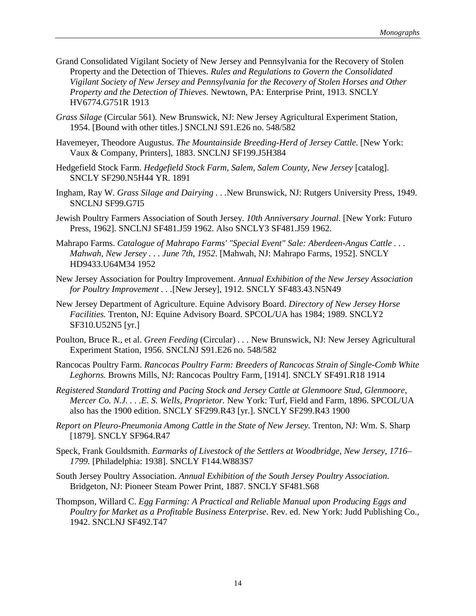- Grand Consolidated Vigilant Society of New Jersey and Pennsylvania for the Recovery of Stolen Property and the Detection of Thieves. *Rules and Regulations to Govern the Consolidated Vigilant Society of New Jersey and Pennsylvania for the Recovery of Stolen Horses and Other Property and the Detection of Thieves.* Newtown, PA: Enterprise Print, 1913. SNCLY HV6774.G751R 1913
- *Grass Silage* (Circular 561)*.* New Brunswick, NJ: New Jersey Agricultural Experiment Station, 1954. [Bound with other titles.] SNCLNJ S91.E26 no. 548/582
- Havemeyer, Theodore Augustus. *The Mountainside Breeding-Herd of Jersey Cattle.* [New York: Vaux & Company, Printers], 1883. SNCLNJ SF199.J5H384
- Hedgefield Stock Farm. *Hedgefield Stock Farm, Salem, Salem County, New Jersey* [catalog]. SNCLY SF290.N5H44 YR. 1891
- Ingham, Ray W. *Grass Silage and Dairying . . .*New Brunswick, NJ: Rutgers University Press, 1949. SNCLNJ SF99.G7I5
- Jewish Poultry Farmers Association of South Jersey. *10th Anniversary Journal.* [New York: Futuro Press, 1962]. SNCLNJ SF481.J59 1962. Also SNCLY3 SF481.J59 1962.
- Mahrapo Farms. *Catalogue of Mahrapo Farms' "Special Event" Sale: Aberdeen-Angus Cattle . . . Mahwah, New Jersey . . . June 7th, 1952*. [Mahwah, NJ: Mahrapo Farms, 1952]. SNCLY HD9433.U64M34 1952
- New Jersey Association for Poultry Improvement. *Annual Exhibition of the New Jersey Association for Poultry Improvement . . .*[New Jersey], 1912. SNCLY SF483.43.N5N49
- New Jersey Department of Agriculture. Equine Advisory Board. *Directory of New Jersey Horse Facilities.* Trenton, NJ: Equine Advisory Board. SPCOL/UA has 1984; 1989. SNCLY2 SF310.U52N5 [yr.]
- Poulton, Bruce R., et al. *Green Feeding* (Circular) *. . .* New Brunswick, NJ: New Jersey Agricultural Experiment Station, 1956. SNCLNJ S91.E26 no. 548/582
- Rancocas Poultry Farm. *Rancocas Poultry Farm: Breeders of Rancocas Strain of Single-Comb White Leghorns.* Browns Mills, NJ: Rancocas Poultry Farm, [1914]. SNCLY SF491.R18 1914
- *Registered Standard Trotting and Pacing Stock and Jersey Cattle at Glenmoore Stud, Glenmoore, Mercer Co. N.J. . . .E. S. Wells, Proprietor.* New York: Turf, Field and Farm, 1896. SPCOL/UA also has the 1900 edition. SNCLY SF299.R43 [yr.]. SNCLY SF299.R43 1900
- *Report on Pleuro-Pneumonia Among Cattle in the State of New Jersey.* Trenton, NJ: Wm. S. Sharp [1879]. SNCLY SF964.R47
- Speck, Frank Gouldsmith. *Earmarks of Livestock of the Settlers at Woodbridge, New Jersey, 1716– 1799.* [Philadelphia: 1938]. SNCLY F144.W883S7
- South Jersey Poultry Association. *Annual Exhibition of the South Jersey Poultry Association.* Bridgeton, NJ: Pioneer Steam Power Print, 1887. SNCLY SF481.S68
- Thompson, Willard C. *Egg Farming: A Practical and Reliable Manual upon Producing Eggs and Poultry for Market as a Profitable Business Enterprise.* Rev. ed. New York: Judd Publishing Co., 1942. SNCLNJ SF492.T47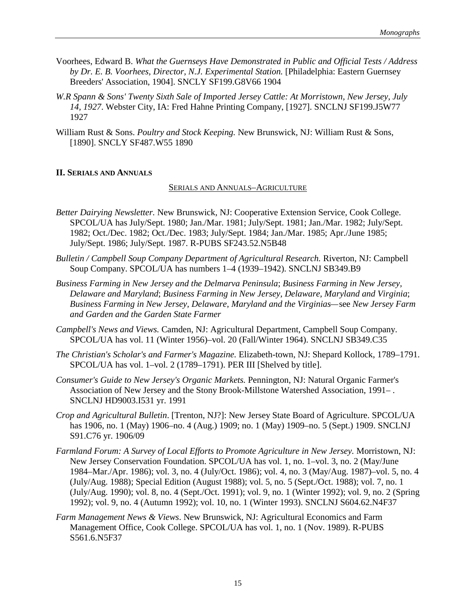- Voorhees, Edward B. *What the Guernseys Have Demonstrated in Public and Official Tests / Address by Dr. E. B. Voorhees, Director, N.J. Experimental Station.* [Philadelphia: Eastern Guernsey Breeders' Association, 1904]. SNCLY SF199.G8V66 1904
- *W.R Spann & Sons' Twenty Sixth Sale of Imported Jersey Cattle: At Morristown, New Jersey, July 14, 1927*. Webster City, IA: Fred Hahne Printing Company, [1927]. SNCLNJ SF199.J5W77 1927
- William Rust & Sons. *Poultry and Stock Keeping.* New Brunswick, NJ: William Rust & Sons, [1890]. SNCLY SF487.W55 1890

# **II. SERIALS AND ANNUALS**

# SERIALS AND ANNUALS–AGRICULTURE

- *Better Dairying Newsletter.* New Brunswick, NJ: Cooperative Extension Service, Cook College. SPCOL/UA has July/Sept. 1980; Jan./Mar. 1981; July/Sept. 1981; Jan./Mar. 1982; July/Sept. 1982; Oct./Dec. 1982; Oct./Dec. 1983; July/Sept. 1984; Jan./Mar. 1985; Apr./June 1985; July/Sept. 1986; July/Sept. 1987. R-PUBS SF243.52.N5B48
- *Bulletin / Campbell Soup Company Department of Agricultural Research. Riverton, NJ: Campbell* Soup Company. SPCOL/UA has numbers 1–4 (1939–1942). SNCLNJ SB349.B9
- *Business Farming in New Jersey and the Delmarva Peninsula*; *Business Farming in New Jersey, Delaware and Maryland*; *Business Farming in New Jersey, Delaware, Maryland and Virginia*; *Business Farming in New Jersey, Delaware, Maryland and the Virginias—*see *New Jersey Farm and Garden and the Garden State Farmer*
- *Campbell's News and Views.* Camden, NJ: Agricultural Department, Campbell Soup Company. SPCOL/UA has vol. 11 (Winter 1956)–vol. 20 (Fall/Winter 1964). SNCLNJ SB349.C35
- *The Christian's Scholar's and Farmer's Magazine.* Elizabeth-town, NJ: Shepard Kollock, 1789–1791. SPCOL/UA has vol. 1–vol. 2 (1789–1791). PER III [Shelved by title].
- *Consumer's Guide to New Jersey's Organic Markets.* Pennington, NJ: Natural Organic Farmer's Association of New Jersey and the Stony Brook-Millstone Watershed Association, 1991– . SNCLNJ HD9003.I531 yr. 1991
- *Crop and Agricultural Bulletin*. [Trenton, NJ?]: New Jersey State Board of Agriculture. SPCOL/UA has 1906, no. 1 (May) 1906–no. 4 (Aug.) 1909; no. 1 (May) 1909–no. 5 (Sept.) 1909. SNCLNJ S91.C76 yr. 1906/09
- *Farmland Forum: A Survey of Local Efforts to Promote Agriculture in New Jersey.* Morristown, NJ: New Jersey Conservation Foundation. SPCOL/UA has vol. 1, no. 1–vol. 3, no. 2 (May/June 1984–Mar./Apr. 1986); vol. 3, no. 4 (July/Oct. 1986); vol. 4, no. 3 (May/Aug. 1987)–vol. 5, no. 4 (July/Aug. 1988); Special Edition (August 1988); vol. 5, no. 5 (Sept./Oct. 1988); vol. 7, no. 1 (July/Aug. 1990); vol. 8, no. 4 (Sept./Oct. 1991); vol. 9, no. 1 (Winter 1992); vol. 9, no. 2 (Spring 1992); vol. 9, no. 4 (Autumn 1992); vol. 10, no. 1 (Winter 1993). SNCLNJ S604.62.N4F37
- *Farm Management News & Views*. New Brunswick, NJ: Agricultural Economics and Farm Management Office, Cook College. SPCOL/UA has vol. 1, no. 1 (Nov. 1989). R-PUBS S561.6.N5F37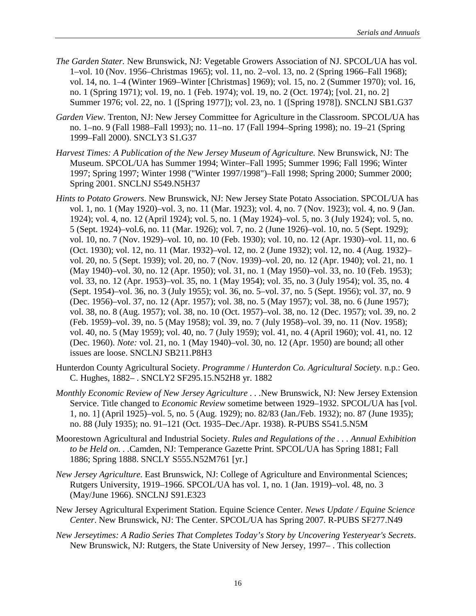- *The Garden Stater.* New Brunswick, NJ: Vegetable Growers Association of NJ. SPCOL/UA has vol. 1–vol. 10 (Nov. 1956–Christmas 1965); vol. 11, no. 2–vol. 13, no. 2 (Spring 1966–Fall 1968); vol. 14, no. 1–4 (Winter 1969–Winter [Christmas] 1969); vol. 15, no. 2 (Summer 1970); vol. 16, no. 1 (Spring 1971); vol. 19, no. 1 (Feb. 1974); vol. 19, no. 2 (Oct. 1974); [vol. 21, no. 2] Summer 1976; vol. 22, no. 1 ([Spring 1977]); vol. 23, no. 1 ([Spring 1978]). SNCLNJ SB1.G37
- *Garden View*. Trenton, NJ: New Jersey Committee for Agriculture in the Classroom. SPCOL/UA has no. 1–no. 9 (Fall 1988–Fall 1993); no. 11–no. 17 (Fall 1994–Spring 1998); no. 19–21 (Spring 1999–Fall 2000). SNCLY3 S1.G37
- *Harvest Times: A Publication of the New Jersey Museum of Agriculture.* New Brunswick, NJ: The Museum. SPCOL/UA has Summer 1994; Winter–Fall 1995; Summer 1996; Fall 1996; Winter 1997; Spring 1997; Winter 1998 ("Winter 1997/1998")–Fall 1998; Spring 2000; Summer 2000; Spring 2001. SNCLNJ S549.N5H37
- *Hints to Potato Growers*. New Brunswick, NJ: New Jersey State Potato Association. SPCOL/UA has vol. 1, no. 1 (May 1920)–vol. 3, no. 11 (Mar. 1923); vol. 4, no. 7 (Nov. 1923); vol. 4, no. 9 (Jan. 1924); vol. 4, no. 12 (April 1924); vol. 5, no. 1 (May 1924)–vol. 5, no. 3 (July 1924); vol. 5, no. 5 (Sept. 1924)–vol.6, no. 11 (Mar. 1926); vol. 7, no. 2 (June 1926)–vol. 10, no. 5 (Sept. 1929); vol. 10, no. 7 (Nov. 1929)–vol. 10, no. 10 (Feb. 1930); vol. 10, no. 12 (Apr. 1930)–vol. 11, no. 6 (Oct. 1930); vol. 12, no. 11 (Mar. 1932)–vol. 12, no. 2 (June 1932); vol. 12, no. 4 (Aug. 1932)– vol. 20, no. 5 (Sept. 1939); vol. 20, no. 7 (Nov. 1939)–vol. 20, no. 12 (Apr. 1940); vol. 21, no. 1 (May 1940)–vol. 30, no. 12 (Apr. 1950); vol. 31, no. 1 (May 1950)–vol. 33, no. 10 (Feb. 1953); vol. 33, no. 12 (Apr. 1953)–vol. 35, no. 1 (May 1954); vol. 35, no. 3 (July 1954); vol. 35, no. 4 (Sept. 1954)–vol. 36, no. 3 (July 1955); vol. 36, no. 5–vol. 37, no. 5 (Sept. 1956); vol. 37, no. 9 (Dec. 1956)–vol. 37, no. 12 (Apr. 1957); vol. 38, no. 5 (May 1957); vol. 38, no. 6 (June 1957); vol. 38, no. 8 (Aug. 1957); vol. 38, no. 10 (Oct. 1957)–vol. 38, no. 12 (Dec. 1957); vol. 39, no. 2 (Feb. 1959)–vol. 39, no. 5 (May 1958); vol. 39, no. 7 (July 1958)–vol. 39, no. 11 (Nov. 1958); vol. 40, no. 5 (May 1959); vol. 40, no. 7 (July 1959); vol. 41, no. 4 (April 1960); vol. 41, no. 12 (Dec. 1960). *Note:* vol. 21, no. 1 (May 1940)–vol. 30, no. 12 (Apr. 1950) are bound; all other issues are loose. SNCLNJ SB211.P8H3
- Hunterdon County Agricultural Society. *Programme* / *Hunterdon Co. Agricultural Society.* n.p.: Geo. C. Hughes, 1882– . SNCLY2 SF295.15.N52H8 yr. 1882
- *Monthly Economic Review of New Jersey Agriculture . . .*New Brunswick, NJ: New Jersey Extension Service. Title changed to *Economic Review* sometime between 1929–1932. SPCOL/UA has [vol. 1, no. 1] (April 1925)–vol. 5, no. 5 (Aug. 1929); no. 82/83 (Jan./Feb. 1932); no. 87 (June 1935); no. 88 (July 1935); no. 91–121 (Oct. 1935–Dec./Apr. 1938). R-PUBS S541.5.N5M
- Moorestown Agricultural and Industrial Society. *Rules and Regulations of the . . . Annual Exhibition to be Held on. . .*Camden, NJ: Temperance Gazette Print. SPCOL/UA has Spring 1881; Fall 1886; Spring 1888. SNCLY S555.N52M761 [yr.]
- *New Jersey Agriculture.* East Brunswick, NJ: College of Agriculture and Environmental Sciences; Rutgers University, 1919–1966. SPCOL/UA has vol. 1, no. 1 (Jan. 1919)–vol. 48, no. 3 (May/June 1966). SNCLNJ S91.E323
- New Jersey Agricultural Experiment Station. Equine Science Center. *News Update / Equine Science Center*. New Brunswick, NJ: The Center. SPCOL/UA has Spring 2007. R-PUBS SF277.N49
- *New Jerseytimes: A Radio Series That Completes Today's Story by Uncovering Yesteryear's Secrets*. New Brunswick, NJ: Rutgers, the State University of New Jersey, 1997– . This collection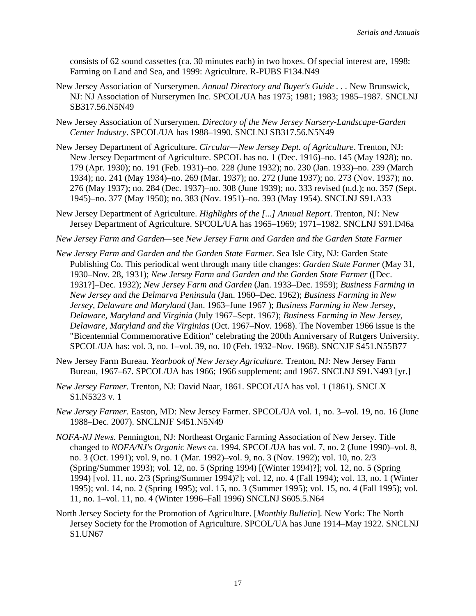consists of 62 sound cassettes (ca. 30 minutes each) in two boxes. Of special interest are, 1998: Farming on Land and Sea, and 1999: Agriculture. R-PUBS F134.N49

- New Jersey Association of Nurserymen. *Annual Directory and Buyer's Guide . . .* New Brunswick, NJ: NJ Association of Nurserymen Inc. SPCOL/UA has 1975; 1981; 1983; 1985–1987. SNCLNJ SB317.56.N5N49
- New Jersey Association of Nurserymen*. Directory of the New Jersey Nursery-Landscape-Garden Center Industry*. SPCOL/UA has 1988–1990. SNCLNJ SB317.56.N5N49
- New Jersey Department of Agriculture. *Circular—New Jersey Dept. of Agriculture*. Trenton, NJ: New Jersey Department of Agriculture. SPCOL has no. 1 (Dec. 1916)–no. 145 (May 1928); no. 179 (Apr. 1930); no. 191 (Feb. 1931)–no. 228 (June 1932); no. 230 (Jan. 1933)–no. 239 (March 1934); no. 241 (May 1934)–no. 269 (Mar. 1937); no. 272 (June 1937); no. 273 (Nov. 1937); no. 276 (May 1937); no. 284 (Dec. 1937)–no. 308 (June 1939); no. 333 revised (n.d.); no. 357 (Sept. 1945)–no. 377 (May 1950); no. 383 (Nov. 1951)–no. 393 (May 1954). SNCLNJ S91.A33
- New Jersey Department of Agriculture. *Highlights of the [...] Annual Report*. Trenton, NJ: New Jersey Department of Agriculture. SPCOL/UA has 1965–1969; 1971–1982. SNCLNJ S91.D46a
- *New Jersey Farm and Garden—*see *New Jersey Farm and Garden and the Garden State Farmer*
- *New Jersey Farm and Garden and the Garden State Farmer.* Sea Isle City, NJ: Garden State Publishing Co. This periodical went through many title changes: *Garden State Farmer* (May 31, 1930–Nov. 28, 1931); *New Jersey Farm and Garden and the Garden State Farmer* ([Dec. 1931?]–Dec. 1932); *New Jersey Farm and Garden* (Jan. 1933–Dec. 1959); *Business Farming in New Jersey and the Delmarva Peninsula* (Jan. 1960–Dec. 1962); *Business Farming in New Jersey, Delaware and Maryland* (Jan. 1963–June 1967 ); *Business Farming in New Jersey, Delaware, Maryland and Virginia* (July 1967–Sept. 1967); *Business Farming in New Jersey, Delaware, Maryland and the Virginias* (Oct. 1967–Nov. 1968). The November 1966 issue is the "Bicentennial Commemorative Edition" celebrating the 200th Anniversary of Rutgers University. SPCOL/UA has: vol. 3, no. 1–vol. 39, no. 10 (Feb. 1932–Nov. 1968). SNCNJF S451.N55B77
- New Jersey Farm Bureau. *Yearbook of New Jersey Agriculture.* Trenton, NJ: New Jersey Farm Bureau, 1967–67. SPCOL/UA has 1966; 1966 supplement; and 1967. SNCLNJ S91.N493 [yr.]
- *New Jersey Farmer.* Trenton, NJ: David Naar, 1861. SPCOL/UA has vol. 1 (1861). SNCLX S1.N5323 v. 1
- *New Jersey Farmer.* Easton, MD: New Jersey Farmer. SPCOL/UA vol. 1, no. 3–vol. 19, no. 16 (June 1988–Dec. 2007). SNCLNJF S451.N5N49
- *NOFA-NJ News.* Pennington, NJ: Northeast Organic Farming Association of New Jersey. Title changed to *NOFA/NJ's Organic News* ca. 1994. SPCOL/UA has vol. 7, no. 2 (June 1990)–vol. 8, no. 3 (Oct. 1991); vol. 9, no. 1 (Mar. 1992)–vol. 9, no. 3 (Nov. 1992); vol. 10, no. 2/3 (Spring/Summer 1993); vol. 12, no. 5 (Spring 1994) [(Winter 1994)?]; vol. 12, no. 5 (Spring 1994) [vol. 11, no. 2/3 (Spring/Summer 1994)?]; vol. 12, no. 4 (Fall 1994); vol. 13, no. 1 (Winter 1995); vol. 14, no. 2 (Spring 1995); vol. 15, no. 3 (Summer 1995); vol. 15, no. 4 (Fall 1995); vol. 11, no. 1–vol. 11, no. 4 (Winter 1996–Fall 1996) SNCLNJ S605.5.N64
- North Jersey Society for the Promotion of Agriculture. [*Monthly Bulletin*]*.* New York: The North Jersey Society for the Promotion of Agriculture. SPCOL/UA has June 1914–May 1922. SNCLNJ S1.UN67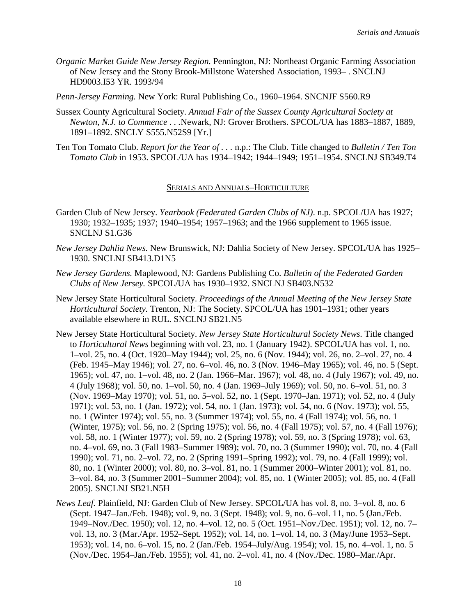*Organic Market Guide New Jersey Region.* Pennington, NJ: Northeast Organic Farming Association of New Jersey and the Stony Brook-Millstone Watershed Association, 1993– . SNCLNJ HD9003.I53 YR. 1993/94

*Penn-Jersey Farming.* New York: Rural Publishing Co., 1960–1964. SNCNJF S560.R9

- Sussex County Agricultural Society. *Annual Fair of the Sussex County Agricultural Society at Newton, N.J. to Commence . . .*Newark, NJ: Grover Brothers. SPCOL/UA has 1883–1887, 1889, 1891–1892. SNCLY S555.N52S9 [Yr.]
- Ten Ton Tomato Club. *Report for the Year of . . .* n.p.: The Club. Title changed to *Bulletin / Ten Ton Tomato Club* in 1953. SPCOL/UA has 1934–1942; 1944–1949; 1951–1954. SNCLNJ SB349.T4

#### SERIALS AND ANNUALS–HORTICULTURE

- Garden Club of New Jersey. *Yearbook (Federated Garden Clubs of NJ)*. n.p. SPCOL/UA has 1927; 1930; 1932–1935; 1937; 1940–1954; 1957–1963; and the 1966 supplement to 1965 issue. SNCLNJ S1.G36
- *New Jersey Dahlia News.* New Brunswick, NJ: Dahlia Society of New Jersey. SPCOL/UA has 1925– 1930. SNCLNJ SB413.D1N5
- *New Jersey Gardens.* Maplewood, NJ: Gardens Publishing Co. *Bulletin of the Federated Garden Clubs of New Jersey.* SPCOL/UA has 1930–1932. SNCLNJ SB403.N532
- New Jersey State Horticultural Society. *Proceedings of the Annual Meeting of the New Jersey State Horticultural Society.* Trenton, NJ: The Society. SPCOL/UA has 1901–1931; other years available elsewhere in RUL. SNCLNJ SB21.N5
- New Jersey State Horticultural Society. *New Jersey State Horticultural Society News*. Title changed to *Horticultural News* beginning with vol. 23, no. 1 (January 1942). SPCOL/UA has vol. 1, no. 1–vol. 25, no. 4 (Oct. 1920–May 1944); vol. 25, no. 6 (Nov. 1944); vol. 26, no. 2–vol. 27, no. 4 (Feb. 1945–May 1946); vol. 27, no. 6–vol. 46, no. 3 (Nov. 1946–May 1965); vol. 46, no. 5 (Sept. 1965); vol. 47, no. 1–vol. 48, no. 2 (Jan. 1966–Mar. 1967); vol. 48, no. 4 (July 1967); vol. 49, no. 4 (July 1968); vol. 50, no. 1–vol. 50, no. 4 (Jan. 1969–July 1969); vol. 50, no. 6–vol. 51, no. 3 (Nov. 1969–May 1970); vol. 51, no. 5–vol. 52, no. 1 (Sept. 1970–Jan. 1971); vol. 52, no. 4 (July 1971); vol. 53, no. 1 (Jan. 1972); vol. 54, no. 1 (Jan. 1973); vol. 54, no. 6 (Nov. 1973); vol. 55, no. 1 (Winter 1974); vol. 55, no. 3 (Summer 1974); vol. 55, no. 4 (Fall 1974); vol. 56, no. 1 (Winter, 1975); vol. 56, no. 2 (Spring 1975); vol. 56, no. 4 (Fall 1975); vol. 57, no. 4 (Fall 1976); vol. 58, no. 1 (Winter 1977); vol. 59, no. 2 (Spring 1978); vol. 59, no. 3 (Spring 1978); vol. 63, no. 4–vol. 69, no. 3 (Fall 1983–Summer 1989); vol. 70, no. 3 (Summer 1990); vol. 70, no. 4 (Fall 1990); vol. 71, no. 2–vol. 72, no. 2 (Spring 1991–Spring 1992); vol. 79, no. 4 (Fall 1999); vol. 80, no. 1 (Winter 2000); vol. 80, no. 3–vol. 81, no. 1 (Summer 2000–Winter 2001); vol. 81, no. 3–vol. 84, no. 3 (Summer 2001–Summer 2004); vol. 85, no. 1 (Winter 2005); vol. 85, no. 4 (Fall 2005). SNCLNJ SB21.N5H
- *News Leaf.* Plainfield, NJ: Garden Club of New Jersey. SPCOL/UA has vol. 8, no. 3–vol. 8, no. 6 (Sept. 1947–Jan./Feb. 1948); vol. 9, no. 3 (Sept. 1948); vol. 9, no. 6–vol. 11, no. 5 (Jan./Feb. 1949–Nov./Dec. 1950); vol. 12, no. 4–vol. 12, no. 5 (Oct. 1951–Nov./Dec. 1951); vol. 12, no. 7– vol. 13, no. 3 (Mar./Apr. 1952–Sept. 1952); vol. 14, no. 1–vol. 14, no. 3 (May/June 1953–Sept. 1953); vol. 14, no. 6–vol. 15, no. 2 (Jan./Feb. 1954–July/Aug. 1954); vol. 15, no. 4–vol. 1, no. 5 (Nov./Dec. 1954–Jan./Feb. 1955); vol. 41, no. 2–vol. 41, no. 4 (Nov./Dec. 1980–Mar./Apr.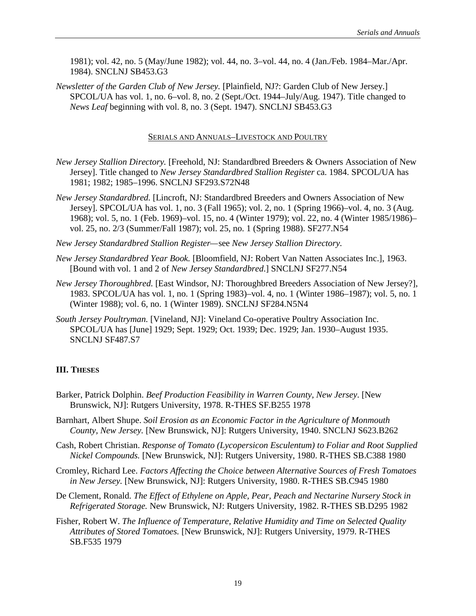1981); vol. 42, no. 5 (May/June 1982); vol. 44, no. 3–vol. 44, no. 4 (Jan./Feb. 1984–Mar./Apr. 1984). SNCLNJ SB453.G3

*Newsletter of the Garden Club of New Jersey.* [Plainfield, NJ?: Garden Club of New Jersey.] SPCOL/UA has vol. 1, no. 6–vol. 8, no. 2 (Sept./Oct. 1944–July/Aug. 1947). Title changed to *News Leaf* beginning with vol. 8, no. 3 (Sept. 1947). SNCLNJ SB453.G3

## SERIALS AND ANNUALS–LIVESTOCK AND POULTRY

- *New Jersey Stallion Directory.* [Freehold, NJ: Standardbred Breeders & Owners Association of New Jersey]. Title changed to *New Jersey Standardbred Stallion Register* ca. 1984. SPCOL/UA has 1981; 1982; 1985–1996. SNCLNJ SF293.S72N48
- *New Jersey Standardbred.* [Lincroft, NJ: Standardbred Breeders and Owners Association of New Jersey]. SPCOL/UA has vol. 1, no. 3 (Fall 1965); vol. 2, no. 1 (Spring 1966)–vol. 4, no. 3 (Aug. 1968); vol. 5, no. 1 (Feb. 1969)–vol. 15, no. 4 (Winter 1979); vol. 22, no. 4 (Winter 1985/1986)– vol. 25, no. 2/3 (Summer/Fall 1987); vol. 25, no. 1 (Spring 1988). SF277.N54
- *New Jersey Standardbred Stallion Register—*see *New Jersey Stallion Directory.*
- *New Jersey Standardbred Year Book.* [Bloomfield, NJ: Robert Van Natten Associates Inc.], 1963. [Bound with vol. 1 and 2 of *New Jersey Standardbred*.] SNCLNJ SF277.N54
- *New Jersey Thoroughbred.* [East Windsor, NJ: Thoroughbred Breeders Association of New Jersey?], 1983. SPCOL/UA has vol. 1, no. 1 (Spring 1983)–vol. 4, no. 1 (Winter 1986–1987); vol. 5, no. 1 (Winter 1988); vol. 6, no. 1 (Winter 1989). SNCLNJ SF284.N5N4
- *South Jersey Poultryman.* [Vineland, NJ]: Vineland Co-operative Poultry Association Inc. SPCOL/UA has [June] 1929; Sept. 1929; Oct. 1939; Dec. 1929; Jan. 1930–August 1935. SNCLNJ SF487.S7

# **III. THESES**

- Barker, Patrick Dolphin. *Beef Production Feasibility in Warren County, New Jersey*. [New Brunswick, NJ]: Rutgers University, 1978. R-THES SF.B255 1978
- Barnhart, Albert Shupe. *Soil Erosion as an Economic Factor in the Agriculture of Monmouth County, New Jersey.* [New Brunswick, NJ]: Rutgers University, 1940. SNCLNJ S623.B262
- Cash, Robert Christian. *Response of Tomato (Lycopersicon Esculentum) to Foliar and Root Supplied Nickel Compounds.* [New Brunswick, NJ]: Rutgers University, 1980. R-THES SB.C388 1980
- Cromley, Richard Lee. *Factors Affecting the Choice between Alternative Sources of Fresh Tomatoes in New Jersey.* [New Brunswick, NJ]: Rutgers University, 1980. R-THES SB.C945 1980
- De Clement, Ronald. *The Effect of Ethylene on Apple, Pear, Peach and Nectarine Nursery Stock in Refrigerated Storage.* New Brunswick, NJ: Rutgers University, 1982. R-THES SB.D295 1982
- Fisher, Robert W. *The Influence of Temperature, Relative Humidity and Time on Selected Quality Attributes of Stored Tomatoes.* [New Brunswick, NJ]: Rutgers University, 1979. R-THES SB.F535 1979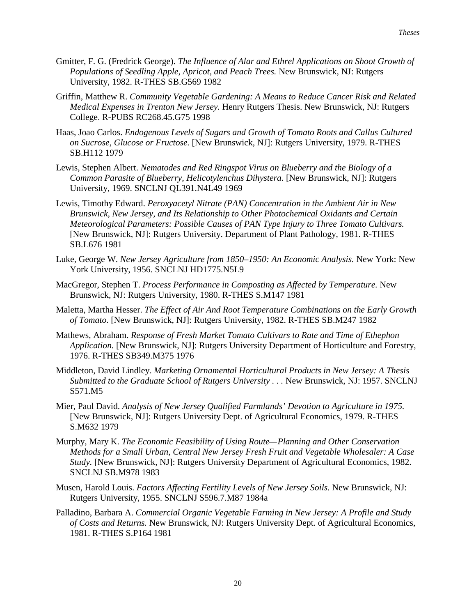- Gmitter, F. G. (Fredrick George). *The Influence of Alar and Ethrel Applications on Shoot Growth of Populations of Seedling Apple, Apricot, and Peach Trees.* New Brunswick, NJ: Rutgers University, 1982. R-THES SB.G569 1982
- Griffin, Matthew R. *Community Vegetable Gardening: A Means to Reduce Cancer Risk and Related Medical Expenses in Trenton New Jersey.* Henry Rutgers Thesis. New Brunswick, NJ: Rutgers College. R-PUBS RC268.45.G75 1998
- Haas, Joao Carlos. *Endogenous Levels of Sugars and Growth of Tomato Roots and Callus Cultured on Sucrose, Glucose or Fructose.* [New Brunswick, NJ]: Rutgers University, 1979. R-THES SB.H112 1979
- Lewis, Stephen Albert. *Nematodes and Red Ringspot Virus on Blueberry and the Biology of a Common Parasite of Blueberry, Helicotylenchus Dihystera.* [New Brunswick, NJ]: Rutgers University, 1969. SNCLNJ QL391.N4L49 1969
- Lewis, Timothy Edward. *Peroxyacetyl Nitrate (PAN) Concentration in the Ambient Air in New Brunswick, New Jersey, and Its Relationship to Other Photochemical Oxidants and Certain Meteorological Parameters: Possible Causes of PAN Type Injury to Three Tomato Cultivars.* [New Brunswick, NJ]: Rutgers University. Department of Plant Pathology, 1981. R-THES SB.L676 1981
- Luke, George W. *New Jersey Agriculture from 1850–1950: An Economic Analysis.* New York: New York University, 1956. SNCLNJ HD1775.N5L9
- MacGregor, Stephen T. *Process Performance in Composting as Affected by Temperature.* New Brunswick, NJ: Rutgers University, 1980. R-THES S.M147 1981
- Maletta, Martha Hesser. *The Effect of Air And Root Temperature Combinations on the Early Growth of Tomato.* [New Brunswick, NJ]: Rutgers University, 1982. R-THES SB.M247 1982
- Mathews, Abraham. *Response of Fresh Market Tomato Cultivars to Rate and Time of Ethephon Application.* [New Brunswick, NJ]: Rutgers University Department of Horticulture and Forestry, 1976. R-THES SB349.M375 1976
- Middleton, David Lindley. *Marketing Ornamental Horticultural Products in New Jersey: A Thesis* Submitted to the Graduate School of Rutgers University . . . New Brunswick, NJ: 1957. SNCLNJ S571.M5
- Mier, Paul David. *Analysis of New Jersey Qualified Farmlands' Devotion to Agriculture in 1975.* [New Brunswick, NJ]: Rutgers University Dept. of Agricultural Economics, 1979. R-THES S.M632 1979
- Murphy, Mary K. *The Economic Feasibility of Using Route—Planning and Other Conservation Methods for a Small Urban, Central New Jersey Fresh Fruit and Vegetable Wholesaler: A Case Study.* [New Brunswick, NJ]: Rutgers University Department of Agricultural Economics, 1982. SNCLNJ SB.M978 1983
- Musen, Harold Louis. *Factors Affecting Fertility Levels of New Jersey Soils.* New Brunswick, NJ: Rutgers University, 1955. SNCLNJ S596.7.M87 1984a
- Palladino, Barbara A. *Commercial Organic Vegetable Farming in New Jersey: A Profile and Study of Costs and Returns.* New Brunswick, NJ: Rutgers University Dept. of Agricultural Economics, 1981. R-THES S.P164 1981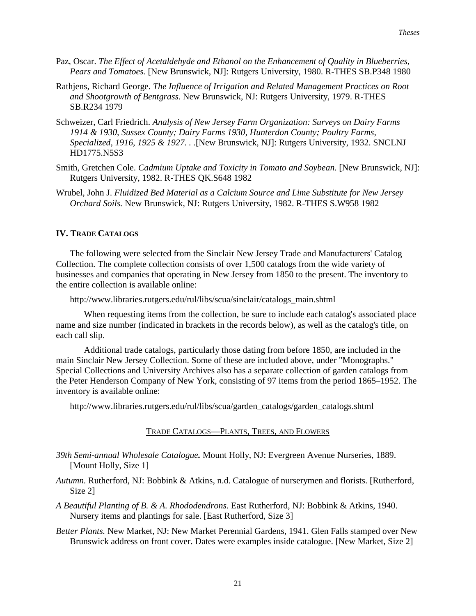- Paz, Oscar. *The Effect of Acetaldehyde and Ethanol on the Enhancement of Quality in Blueberries, Pears and Tomatoes.* [New Brunswick, NJ]: Rutgers University, 1980. R-THES SB.P348 1980
- Rathjens, Richard George. *The Influence of Irrigation and Related Management Practices on Root and Shootgrowth of Bentgrass*. New Brunswick, NJ: Rutgers University, 1979. R-THES SB.R234 1979
- Schweizer, Carl Friedrich. *Analysis of New Jersey Farm Organization: Surveys on Dairy Farms 1914 & 1930, Sussex County; Dairy Farms 1930, Hunterdon County; Poultry Farms, Specialized, 1916, 1925 & 1927. . .*[New Brunswick, NJ]: Rutgers University, 1932. SNCLNJ HD1775.N5S3
- Smith, Gretchen Cole. *Cadmium Uptake and Toxicity in Tomato and Soybean.* [New Brunswick, NJ]: Rutgers University, 1982. R-THES QK.S648 1982
- Wrubel, John J. *Fluidized Bed Material as a Calcium Source and Lime Substitute for New Jersey Orchard Soils.* New Brunswick, NJ: Rutgers University, 1982. R-THES S.W958 1982

# **IV. TRADE CATALOGS**

The following were selected from the Sinclair New Jersey Trade and Manufacturers' Catalog Collection. The complete collection consists of over 1,500 catalogs from the wide variety of businesses and companies that operating in New Jersey from 1850 to the present. The inventory to the entire collection is available online:

http://www.libraries.rutgers.edu/rul/libs/scua/sinclair/catalogs\_main.shtml

When requesting items from the collection, be sure to include each catalog's associated place name and size number (indicated in brackets in the records below), as well as the catalog's title, on each call slip.

Additional trade catalogs, particularly those dating from before 1850, are included in the main Sinclair New Jersey Collection. Some of these are included above, under "Monographs." Special Collections and University Archives also has a separate collection of garden catalogs from the Peter Henderson Company of New York, consisting of 97 items from the period 1865–1952. The inventory is available online:

http://www.libraries.rutgers.edu/rul/libs/scua/garden\_catalogs/garden\_catalogs.shtml

## TRADE CATALOGS—PLANTS, TREES, AND FLOWERS

- *39th Semi-annual Wholesale Catalogue.* Mount Holly, NJ: Evergreen Avenue Nurseries, 1889. [Mount Holly, Size 1]
- *Autumn.* Rutherford, NJ: Bobbink & Atkins, n.d. Catalogue of nurserymen and florists. [Rutherford, Size 2]
- *A Beautiful Planting of B. & A. Rhododendrons.* East Rutherford, NJ: Bobbink & Atkins, 1940. Nursery items and plantings for sale. [East Rutherford, Size 3]
- *Better Plants.* New Market, NJ: New Market Perennial Gardens, 1941. Glen Falls stamped over New Brunswick address on front cover. Dates were examples inside catalogue. [New Market, Size 2]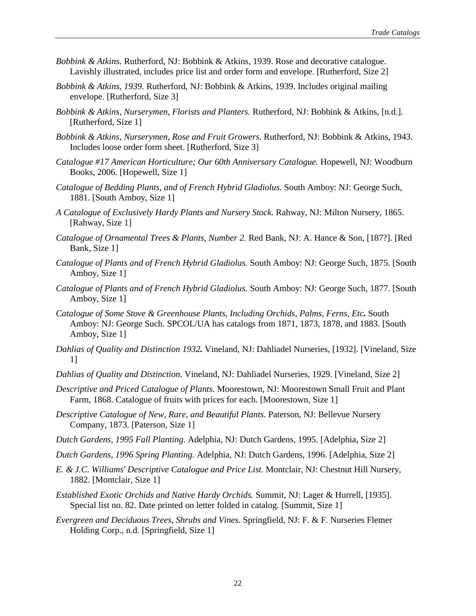- *Bobbink & Atkins.* Rutherford, NJ: Bobbink & Atkins, 1939. Rose and decorative catalogue. Lavishly illustrated, includes price list and order form and envelope. [Rutherford, Size 2]
- *Bobbink & Atkins, 1939.* Rutherford, NJ: Bobbink & Atkins, 1939. Includes original mailing envelope. [Rutherford, Size 3]
- *Bobbink & Atkins, Nurserymen, Florists and Planters.* Rutherford, NJ: Bobbink & Atkins, [n.d.]. [Rutherford, Size 1]
- *Bobbink & Atkins, Nurserymen, Rose and Fruit Growers.* Rutherford, NJ: Bobbink & Atkins, 1943. Includes loose order form sheet. [Rutherford, Size 3]
- *Catalogue #17 American Horticulture; Our 60th Anniversary Catalogue.* Hopewell, NJ: Woodburn Books, 2006. [Hopewell, Size 1]
- *Catalogue of Bedding Plants, and of French Hybrid Gladiolus.* South Amboy: NJ: George Such, 1881. [South Amboy, Size 1]
- *A Catalogue of Exclusively Hardy Plants and Nursery Stock.* Rahway, NJ: Milton Nursery, 1865. [Rahway, Size 1]
- *Catalogue of Ornamental Trees & Plants, Number 2.* Red Bank, NJ: A. Hance & Son, [187?]. [Red Bank, Size 1]
- *Catalogue of Plants and of French Hybrid Gladiolus.* South Amboy: NJ: George Such, 1875. [South Amboy, Size 1]
- *Catalogue of Plants and of French Hybrid Gladiolus.* South Amboy: NJ: George Such, 1877. [South Amboy, Size 1]
- *Catalogue of Some Stove & Greenhouse Plants, Including Orchids, Palms, Ferns, Etc.* South Amboy: NJ: George Such. SPCOL/UA has catalogs from 1871, 1873, 1878, and 1883. [South Amboy, Size 1]
- *Dahlias of Quality and Distinction 1932.* Vineland, NJ: Dahliadel Nurseries, [1932]. [Vineland, Size 1]
- *Dahlias of Quality and Distinction.* Vineland, NJ: Dahliadel Nurseries, 1929. [Vineland, Size 2]
- *Descriptive and Priced Catalogue of Plants.* Moorestown, NJ: Moorestown Small Fruit and Plant Farm, 1868. Catalogue of fruits with prices for each. [Moorestown, Size 1]
- *Descriptive Catalogue of New, Rare, and Beautiful Plants.* Paterson, NJ: Bellevue Nursery Company, 1873. [Paterson, Size 1]
- *Dutch Gardens, 1995 Fall Planting.* Adelphia, NJ: Dutch Gardens, 1995. [Adelphia, Size 2]
- *Dutch Gardens, 1996 Spring Planting.* Adelphia, NJ: Dutch Gardens, 1996. [Adelphia, Size 2]
- *E. & J.C. Williams' Descriptive Catalogue and Price List.* Montclair, NJ: Chestnut Hill Nursery, 1882. [Montclair, Size 1]
- *Established Exotic Orchids and Native Hardy Orchids.* Summit, NJ: Lager & Hurrell, [1935]. Special list no. 82. Date printed on letter folded in catalog. [Summit, Size 1]
- *Evergreen and Deciduous Trees, Shrubs and Vines.* Springfield, NJ: F. & F. Nurseries Flemer Holding Corp., n.d. [Springfield, Size 1]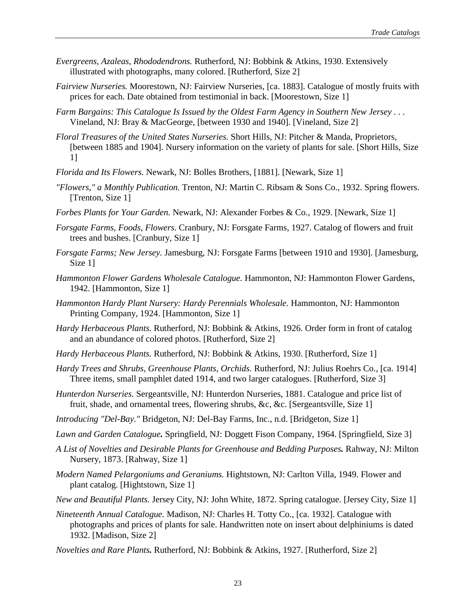- *Evergreens, Azaleas, Rhododendrons.* Rutherford, NJ: Bobbink & Atkins, 1930. Extensively illustrated with photographs, many colored. [Rutherford, Size 2]
- *Fairview Nurseries.* Moorestown, NJ: Fairview Nurseries, [ca. 1883]. Catalogue of mostly fruits with prices for each. Date obtained from testimonial in back. [Moorestown, Size 1]
- *Farm Bargains: This Catalogue Is Issued by the Oldest Farm Agency in Southern New Jersey . . .* Vineland, NJ: Bray & MacGeorge, [between 1930 and 1940]. [Vineland, Size 2]
- *Floral Treasures of the United States Nurseries.* Short Hills, NJ: Pitcher & Manda, Proprietors, [between 1885 and 1904]. Nursery information on the variety of plants for sale. [Short Hills, Size 1]
- *Florida and Its Flowers.* Newark, NJ: Bolles Brothers, [1881]. [Newark, Size 1]
- *"Flowers," a Monthly Publication.* Trenton, NJ: Martin C. Ribsam & Sons Co., 1932. Spring flowers. [Trenton, Size 1]
- *Forbes Plants for Your Garden.* Newark, NJ: Alexander Forbes & Co., 1929. [Newark, Size 1]
- *Forsgate Farms, Foods, Flowers.* Cranbury, NJ: Forsgate Farms, 1927. Catalog of flowers and fruit trees and bushes. [Cranbury, Size 1]
- *Forsgate Farms; New Jersey.* Jamesburg, NJ: Forsgate Farms [between 1910 and 1930]. [Jamesburg, Size 1]
- *Hammonton Flower Gardens Wholesale Catalogue.* Hammonton, NJ: Hammonton Flower Gardens, 1942. [Hammonton, Size 1]
- *Hammonton Hardy Plant Nursery: Hardy Perennials Wholesale.* Hammonton, NJ: Hammonton Printing Company, 1924. [Hammonton, Size 1]
- *Hardy Herbaceous Plants.* Rutherford, NJ: Bobbink & Atkins, 1926. Order form in front of catalog and an abundance of colored photos. [Rutherford, Size 2]
- *Hardy Herbaceous Plants.* Rutherford, NJ: Bobbink & Atkins, 1930. [Rutherford, Size 1]
- *Hardy Trees and Shrubs, Greenhouse Plants, Orchids.* Rutherford, NJ: Julius Roehrs Co., [ca. 1914] Three items, small pamphlet dated 1914, and two larger catalogues. [Rutherford, Size 3]
- *Hunterdon Nurseries.* Sergeantsville, NJ: Hunterdon Nurseries, 1881. Catalogue and price list of fruit, shade, and ornamental trees, flowering shrubs, &c, &c. [Sergeantsville, Size 1]
- *Introducing "Del-Bay."* Bridgeton, NJ: Del-Bay Farms, Inc., n.d. [Bridgeton, Size 1]
- *Lawn and Garden Catalogue.* Springfield, NJ: Doggett Fison Company, 1964. [Springfield, Size 3]
- *A List of Novelties and Desirable Plants for Greenhouse and Bedding Purposes.* Rahway, NJ: Milton Nursery, 1873. [Rahway, Size 1]
- *Modern Named Pelargoniums and Geraniums.* Hightstown, NJ: Carlton Villa, 1949. Flower and plant catalog. [Hightstown, Size 1]
- *New and Beautiful Plants.* Jersey City, NJ: John White, 1872. Spring catalogue. [Jersey City, Size 1]
- *Nineteenth Annual Catalogue.* Madison, NJ: Charles H. Totty Co., [ca. 1932]. Catalogue with photographs and prices of plants for sale. Handwritten note on insert about delphiniums is dated 1932. [Madison, Size 2]
- *Novelties and Rare Plants.* Rutherford, NJ: Bobbink & Atkins, 1927. [Rutherford, Size 2]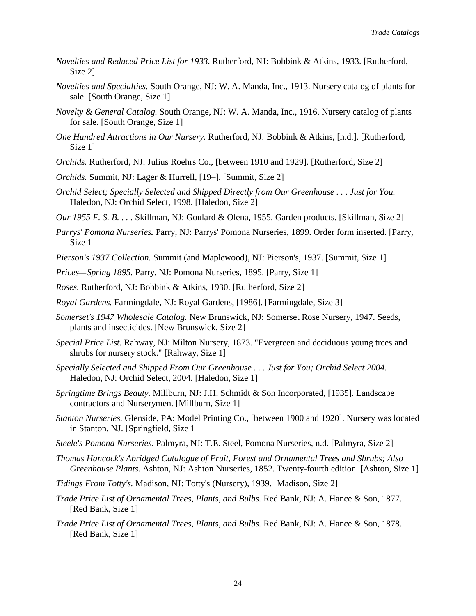- *Novelties and Reduced Price List for 1933.* Rutherford, NJ: Bobbink & Atkins, 1933. [Rutherford, Size 2]
- *Novelties and Specialties.* South Orange, NJ: W. A. Manda, Inc., 1913. Nursery catalog of plants for sale. [South Orange, Size 1]
- *Novelty & General Catalog.* South Orange, NJ: W. A. Manda, Inc., 1916. Nursery catalog of plants for sale. [South Orange, Size 1]
- *One Hundred Attractions in Our Nursery.* Rutherford, NJ: Bobbink & Atkins, [n.d.]. [Rutherford, Size 1]
- *Orchids.* Rutherford, NJ: Julius Roehrs Co., [between 1910 and 1929]. [Rutherford, Size 2]
- *Orchids.* Summit, NJ: Lager & Hurrell, [19–]. [Summit, Size 2]
- *Orchid Select; Specially Selected and Shipped Directly from Our Greenhouse . . . Just for You.* Haledon, NJ: Orchid Select, 1998. [Haledon, Size 2]
- *Our 1955 F. S. B. . . .* Skillman, NJ: Goulard & Olena, 1955. Garden products. [Skillman, Size 2]
- *Parrys' Pomona Nurseries.* Parry, NJ: Parrys' Pomona Nurseries, 1899. Order form inserted. [Parry, Size 1]
- *Pierson's 1937 Collection.* Summit (and Maplewood), NJ: Pierson's, 1937. [Summit, Size 1]
- *Prices—Spring 1895.* Parry, NJ: Pomona Nurseries, 1895. [Parry, Size 1]
- *Roses.* Rutherford, NJ: Bobbink & Atkins, 1930. [Rutherford, Size 2]
- *Royal Gardens.* Farmingdale, NJ: Royal Gardens, [1986]. [Farmingdale, Size 3]
- *Somerset's 1947 Wholesale Catalog.* New Brunswick, NJ: Somerset Rose Nursery, 1947. Seeds, plants and insecticides. [New Brunswick, Size 2]
- *Special Price List.* Rahway, NJ: Milton Nursery, 1873. "Evergreen and deciduous young trees and shrubs for nursery stock." [Rahway, Size 1]
- *Specially Selected and Shipped From Our Greenhouse . . . Just for You; Orchid Select 2004.* Haledon, NJ: Orchid Select, 2004. [Haledon, Size 1]
- *Springtime Brings Beauty.* Millburn, NJ: J.H. Schmidt & Son Incorporated, [1935]. Landscape contractors and Nurserymen. [Millburn, Size 1]
- *Stanton Nurseries.* Glenside, PA: Model Printing Co., [between 1900 and 1920]. Nursery was located in Stanton, NJ. [Springfield, Size 1]
- *Steele's Pomona Nurseries.* Palmyra, NJ: T.E. Steel, Pomona Nurseries, n.d. [Palmyra, Size 2]
- *Thomas Hancock's Abridged Catalogue of Fruit, Forest and Ornamental Trees and Shrubs; Also Greenhouse Plants.* Ashton, NJ: Ashton Nurseries, 1852. Twenty-fourth edition. [Ashton, Size 1]
- *Tidings From Totty's.* Madison, NJ: Totty's (Nursery), 1939. [Madison, Size 2]
- *Trade Price List of Ornamental Trees, Plants, and Bulbs.* Red Bank, NJ: A. Hance & Son, 1877. [Red Bank, Size 1]
- *Trade Price List of Ornamental Trees, Plants, and Bulbs.* Red Bank, NJ: A. Hance & Son, 1878. [Red Bank, Size 1]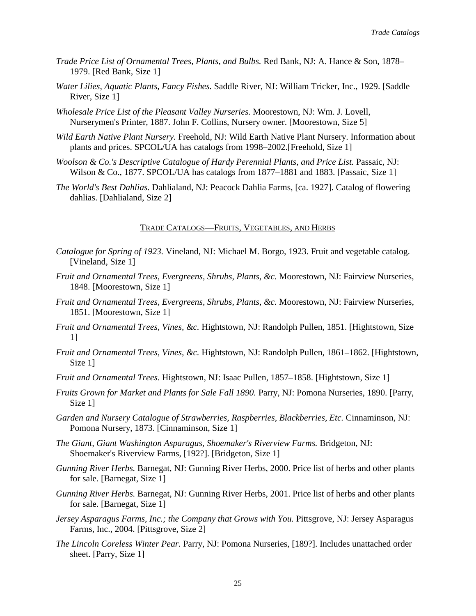- *Trade Price List of Ornamental Trees, Plants, and Bulbs.* Red Bank, NJ: A. Hance & Son, 1878– 1979. [Red Bank, Size 1]
- *Water Lilies, Aquatic Plants, Fancy Fishes.* Saddle River, NJ: William Tricker, Inc., 1929. [Saddle River, Size 1]
- *Wholesale Price List of the Pleasant Valley Nurseries.* Moorestown, NJ: Wm. J. Lovell, Nurserymen's Printer, 1887. John F. Collins, Nursery owner. [Moorestown, Size 5]
- *Wild Earth Native Plant Nursery.* Freehold, NJ: Wild Earth Native Plant Nursery. Information about plants and prices. SPCOL/UA has catalogs from 1998–2002.[Freehold, Size 1]
- *Woolson & Co.'s Descriptive Catalogue of Hardy Perennial Plants, and Price List.* Passaic, NJ: Wilson & Co., 1877. SPCOL/UA has catalogs from 1877–1881 and 1883. [Passaic, Size 1]
- *The World's Best Dahlias.* Dahlialand, NJ: Peacock Dahlia Farms, [ca. 1927]. Catalog of flowering dahlias. [Dahlialand, Size 2]

#### TRADE CATALOGS—FRUITS, VEGETABLES, AND HERBS

- *Catalogue for Spring of 1923.* Vineland, NJ: Michael M. Borgo, 1923. Fruit and vegetable catalog. [Vineland, Size 1]
- *Fruit and Ornamental Trees, Evergreens, Shrubs, Plants, &c.* Moorestown, NJ: Fairview Nurseries, 1848. [Moorestown, Size 1]
- *Fruit and Ornamental Trees, Evergreens, Shrubs, Plants, &c.* Moorestown, NJ: Fairview Nurseries, 1851. [Moorestown, Size 1]
- *Fruit and Ornamental Trees, Vines, &c.* Hightstown, NJ: Randolph Pullen, 1851. [Hightstown, Size 1]
- *Fruit and Ornamental Trees, Vines, &c.* Hightstown, NJ: Randolph Pullen, 1861–1862. [Hightstown, Size 1]
- *Fruit and Ornamental Trees.* Hightstown, NJ: Isaac Pullen, 1857–1858. [Hightstown, Size 1]
- *Fruits Grown for Market and Plants for Sale Fall 1890.* Parry, NJ: Pomona Nurseries, 1890. [Parry, Size 1]
- *Garden and Nursery Catalogue of Strawberries, Raspberries, Blackberries, Etc.* Cinnaminson, NJ: Pomona Nursery, 1873. [Cinnaminson, Size 1]
- *The Giant, Giant Washington Asparagus, Shoemaker's Riverview Farms.* Bridgeton, NJ: Shoemaker's Riverview Farms, [192?]. [Bridgeton, Size 1]
- *Gunning River Herbs.* Barnegat, NJ: Gunning River Herbs, 2000. Price list of herbs and other plants for sale. [Barnegat, Size 1]
- *Gunning River Herbs.* Barnegat, NJ: Gunning River Herbs, 2001. Price list of herbs and other plants for sale. [Barnegat, Size 1]
- *Jersey Asparagus Farms, Inc.; the Company that Grows with You.* Pittsgrove, NJ: Jersey Asparagus Farms, Inc., 2004. [Pittsgrove, Size 2]
- *The Lincoln Coreless Winter Pear.* Parry, NJ: Pomona Nurseries, [189?]. Includes unattached order sheet. [Parry, Size 1]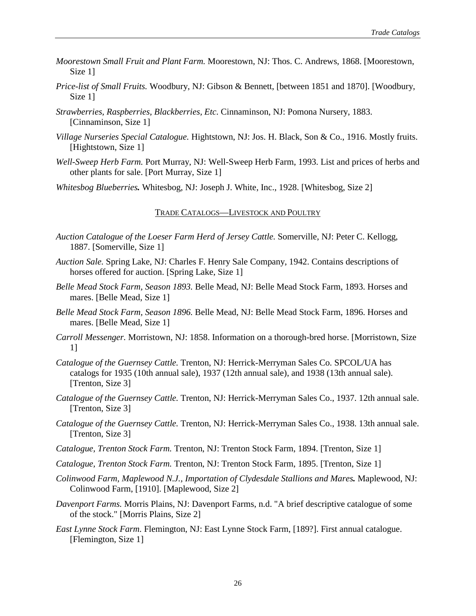- *Moorestown Small Fruit and Plant Farm.* Moorestown, NJ: Thos. C. Andrews, 1868. [Moorestown, Size 1]
- *Price-list of Small Fruits.* Woodbury, NJ: Gibson & Bennett, [between 1851 and 1870]. [Woodbury, Size 1]
- *Strawberries, Raspberries, Blackberries, Etc.* Cinnaminson, NJ: Pomona Nursery, 1883. [Cinnaminson, Size 1]
- *Village Nurseries Special Catalogue.* Hightstown, NJ: Jos. H. Black, Son & Co., 1916. Mostly fruits. [Hightstown, Size 1]
- *Well-Sweep Herb Farm.* Port Murray, NJ: Well-Sweep Herb Farm, 1993. List and prices of herbs and other plants for sale. [Port Murray, Size 1]
- *Whitesbog Blueberries.* Whitesbog, NJ: Joseph J. White, Inc., 1928. [Whitesbog, Size 2]

#### TRADE CATALOGS—LIVESTOCK AND POULTRY

- *Auction Catalogue of the Loeser Farm Herd of Jersey Cattle.* Somerville, NJ: Peter C. Kellogg, 1887. [Somerville, Size 1]
- *Auction Sale.* Spring Lake, NJ: Charles F. Henry Sale Company, 1942. Contains descriptions of horses offered for auction. [Spring Lake, Size 1]
- *Belle Mead Stock Farm, Season 1893.* Belle Mead, NJ: Belle Mead Stock Farm, 1893. Horses and mares. [Belle Mead, Size 1]
- *Belle Mead Stock Farm, Season 1896.* Belle Mead, NJ: Belle Mead Stock Farm, 1896. Horses and mares. [Belle Mead, Size 1]
- *Carroll Messenger.* Morristown, NJ: 1858. Information on a thorough-bred horse. [Morristown, Size 1]
- *Catalogue of the Guernsey Cattle.* Trenton, NJ: Herrick-Merryman Sales Co. SPCOL/UA has catalogs for 1935 (10th annual sale), 1937 (12th annual sale), and 1938 (13th annual sale). [Trenton, Size 3]
- *Catalogue of the Guernsey Cattle.* Trenton, NJ: Herrick-Merryman Sales Co., 1937. 12th annual sale. [Trenton, Size 3]
- *Catalogue of the Guernsey Cattle.* Trenton, NJ: Herrick-Merryman Sales Co., 1938. 13th annual sale. [Trenton, Size 3]
- *Catalogue, Trenton Stock Farm.* Trenton, NJ: Trenton Stock Farm, 1894. [Trenton, Size 1]
- *Catalogue, Trenton Stock Farm.* Trenton, NJ: Trenton Stock Farm, 1895. [Trenton, Size 1]
- *Colinwood Farm, Maplewood N.J., Importation of Clydesdale Stallions and Mares.* Maplewood, NJ: Colinwood Farm, [1910]. [Maplewood, Size 2]
- *Davenport Farms.* Morris Plains, NJ: Davenport Farms, n.d. "A brief descriptive catalogue of some of the stock." [Morris Plains, Size 2]
- *East Lynne Stock Farm.* Flemington, NJ: East Lynne Stock Farm, [189?]. First annual catalogue. [Flemington, Size 1]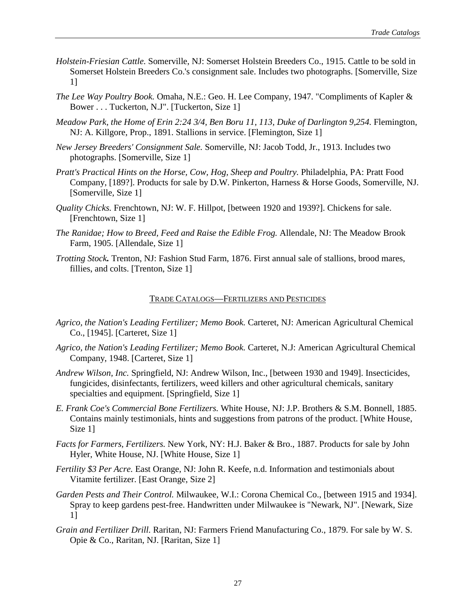- *Holstein-Friesian Cattle.* Somerville, NJ: Somerset Holstein Breeders Co., 1915. Cattle to be sold in Somerset Holstein Breeders Co.'s consignment sale. Includes two photographs. [Somerville, Size 1]
- *The Lee Way Poultry Book.* Omaha, N.E.: Geo. H. Lee Company, 1947. "Compliments of Kapler & Bower . . . Tuckerton, N.J". [Tuckerton, Size 1]
- *Meadow Park, the Home of Erin 2:24 3/4, Ben Boru 11, 113, Duke of Darlington 9,254.* Flemington, NJ: A. Killgore, Prop., 1891. Stallions in service. [Flemington, Size 1]
- *New Jersey Breeders' Consignment Sale.* Somerville, NJ: Jacob Todd, Jr., 1913. Includes two photographs. [Somerville, Size 1]
- *Pratt's Practical Hints on the Horse, Cow, Hog, Sheep and Poultry.* Philadelphia, PA: Pratt Food Company, [189?]. Products for sale by D.W. Pinkerton, Harness & Horse Goods, Somerville, NJ. [Somerville, Size 1]
- *Quality Chicks.* Frenchtown, NJ: W. F. Hillpot, [between 1920 and 1939?]. Chickens for sale. [Frenchtown, Size 1]
- *The Ranidae; How to Breed, Feed and Raise the Edible Frog.* Allendale, NJ: The Meadow Brook Farm, 1905. [Allendale, Size 1]
- *Trotting Stock.* Trenton, NJ: Fashion Stud Farm, 1876. First annual sale of stallions, brood mares, fillies, and colts. [Trenton, Size 1]

#### TRADE CATALOGS—FERTILIZERS AND PESTICIDES

- *Agrico, the Nation's Leading Fertilizer; Memo Book.* Carteret, NJ: American Agricultural Chemical Co., [1945]. [Carteret, Size 1]
- *Agrico, the Nation's Leading Fertilizer; Memo Book.* Carteret, N.J: American Agricultural Chemical Company, 1948. [Carteret, Size 1]
- *Andrew Wilson, Inc.* Springfield, NJ: Andrew Wilson, Inc., [between 1930 and 1949]. Insecticides, fungicides, disinfectants, fertilizers, weed killers and other agricultural chemicals, sanitary specialties and equipment. [Springfield, Size 1]
- *E. Frank Coe's Commercial Bone Fertilizers.* White House, NJ: J.P. Brothers & S.M. Bonnell, 1885. Contains mainly testimonials, hints and suggestions from patrons of the product. [White House, Size 1]
- *Facts for Farmers, Fertilizers.* New York, NY: H.J. Baker & Bro., 1887. Products for sale by John Hyler, White House, NJ. [White House, Size 1]
- *Fertility \$3 Per Acre.* East Orange, NJ: John R. Keefe, n.d. Information and testimonials about Vitamite fertilizer. [East Orange, Size 2]
- *Garden Pests and Their Control.* Milwaukee, W.I.: Corona Chemical Co., [between 1915 and 1934]. Spray to keep gardens pest-free. Handwritten under Milwaukee is "Newark, NJ". [Newark, Size 1]
- *Grain and Fertilizer Drill.* Raritan, NJ: Farmers Friend Manufacturing Co., 1879. For sale by W. S. Opie & Co., Raritan, NJ. [Raritan, Size 1]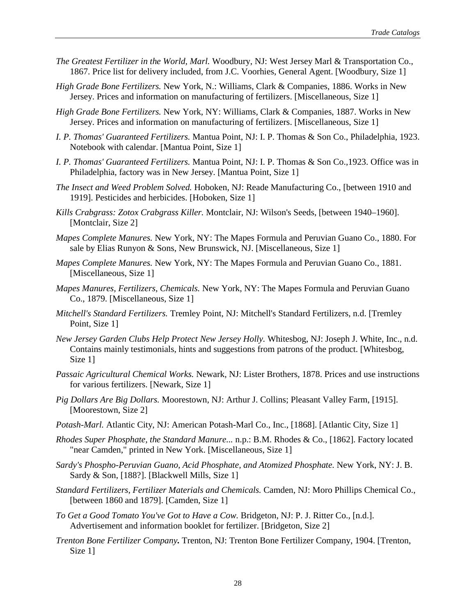- *The Greatest Fertilizer in the World, Marl.* Woodbury, NJ: West Jersey Marl & Transportation Co., 1867. Price list for delivery included, from J.C. Voorhies, General Agent. [Woodbury, Size 1]
- *High Grade Bone Fertilizers.* New York, N.: Williams, Clark & Companies, 1886. Works in New Jersey. Prices and information on manufacturing of fertilizers. [Miscellaneous, Size 1]
- *High Grade Bone Fertilizers.* New York, NY: Williams, Clark & Companies, 1887. Works in New Jersey. Prices and information on manufacturing of fertilizers. [Miscellaneous, Size 1]
- *I. P. Thomas' Guaranteed Fertilizers.* Mantua Point, NJ: I. P. Thomas & Son Co., Philadelphia, 1923. Notebook with calendar. [Mantua Point, Size 1]
- *I. P. Thomas' Guaranteed Fertilizers.* Mantua Point, NJ: I. P. Thomas & Son Co.,1923. Office was in Philadelphia, factory was in New Jersey. [Mantua Point, Size 1]
- *The Insect and Weed Problem Solved.* Hoboken, NJ: Reade Manufacturing Co., [between 1910 and 1919]. Pesticides and herbicides. [Hoboken, Size 1]
- *Kills Crabgrass: Zotox Crabgrass Killer.* Montclair, NJ: Wilson's Seeds, [between 1940–1960]. [Montclair, Size 2]
- *Mapes Complete Manures.* New York, NY: The Mapes Formula and Peruvian Guano Co., 1880. For sale by Elias Runyon & Sons, New Brunswick, NJ. [Miscellaneous, Size 1]
- *Mapes Complete Manures.* New York, NY: The Mapes Formula and Peruvian Guano Co., 1881. [Miscellaneous, Size 1]
- *Mapes Manures, Fertilizers, Chemicals.* New York, NY: The Mapes Formula and Peruvian Guano Co., 1879. [Miscellaneous, Size 1]
- *Mitchell's Standard Fertilizers.* Tremley Point, NJ: Mitchell's Standard Fertilizers, n.d. [Tremley Point, Size 1]
- *New Jersey Garden Clubs Help Protect New Jersey Holly.* Whitesbog, NJ: Joseph J. White, Inc., n.d. Contains mainly testimonials, hints and suggestions from patrons of the product. [Whitesbog, Size 1]
- *Passaic Agricultural Chemical Works.* Newark, NJ: Lister Brothers, 1878. Prices and use instructions for various fertilizers. [Newark, Size 1]
- *Pig Dollars Are Big Dollars.* Moorestown, NJ: Arthur J. Collins; Pleasant Valley Farm, [1915]. [Moorestown, Size 2]
- *Potash-Marl.* Atlantic City, NJ: American Potash-Marl Co., Inc., [1868]. [Atlantic City, Size 1]
- *Rhodes Super Phosphate, the Standard Manure...* n.p.: B.M. Rhodes & Co., [1862]. Factory located "near Camden," printed in New York. [Miscellaneous, Size 1]
- *Sardy's Phospho-Peruvian Guano, Acid Phosphate, and Atomized Phosphate.* New York, NY: J. B. Sardy & Son, [188?]. [Blackwell Mills, Size 1]
- *Standard Fertilizers, Fertilizer Materials and Chemicals.* Camden, NJ: Moro Phillips Chemical Co., [between 1860 and 1879]. [Camden, Size 1]
- *To Get a Good Tomato You've Got to Have a Cow.* Bridgeton, NJ: P. J. Ritter Co., [n.d.]. Advertisement and information booklet for fertilizer. [Bridgeton, Size 2]
- *Trenton Bone Fertilizer Company.* Trenton, NJ: Trenton Bone Fertilizer Company, 1904. [Trenton, Size 1]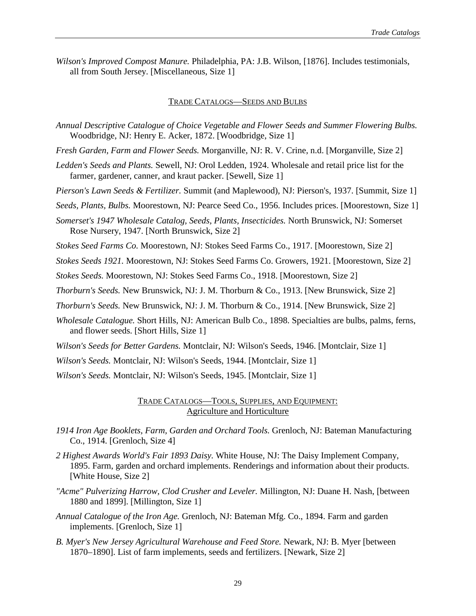*Wilson's Improved Compost Manure.* Philadelphia, PA: J.B. Wilson, [1876]. Includes testimonials, all from South Jersey. [Miscellaneous, Size 1]

#### TRADE CATALOGS—SEEDS AND BULBS

*Annual Descriptive Catalogue of Choice Vegetable and Flower Seeds and Summer Flowering Bulbs.* Woodbridge, NJ: Henry E. Acker, 1872. [Woodbridge, Size 1]

*Fresh Garden, Farm and Flower Seeds.* Morganville, NJ: R. V. Crine, n.d. [Morganville, Size 2]

*Ledden's Seeds and Plants.* Sewell, NJ: Orol Ledden, 1924. Wholesale and retail price list for the farmer, gardener, canner, and kraut packer. [Sewell, Size 1]

*Pierson's Lawn Seeds & Fertilizer.* Summit (and Maplewood), NJ: Pierson's, 1937. [Summit, Size 1]

*Seeds, Plants, Bulbs.* Moorestown, NJ: Pearce Seed Co., 1956. Includes prices. [Moorestown, Size 1]

*Somerset's 1947 Wholesale Catalog, Seeds, Plants, Insecticides.* North Brunswick, NJ: Somerset Rose Nursery, 1947. [North Brunswick, Size 2]

*Stokes Seed Farms Co.* Moorestown, NJ: Stokes Seed Farms Co., 1917. [Moorestown, Size 2]

*Stokes Seeds 1921.* Moorestown, NJ: Stokes Seed Farms Co. Growers, 1921. [Moorestown, Size 2]

*Stokes Seeds.* Moorestown, NJ: Stokes Seed Farms Co., 1918. [Moorestown, Size 2]

*Thorburn's Seeds.* New Brunswick, NJ: J. M. Thorburn & Co., 1913. [New Brunswick, Size 2]

*Thorburn's Seeds.* New Brunswick, NJ: J. M. Thorburn & Co., 1914. [New Brunswick, Size 2]

*Wholesale Catalogue.* Short Hills, NJ: American Bulb Co., 1898. Specialties are bulbs, palms, ferns, and flower seeds. [Short Hills, Size 1]

*Wilson's Seeds for Better Gardens.* Montclair, NJ: Wilson's Seeds, 1946. [Montclair, Size 1]

*Wilson's Seeds.* Montclair, NJ: Wilson's Seeds, 1944. [Montclair, Size 1]

*Wilson's Seeds.* Montclair, NJ: Wilson's Seeds, 1945. [Montclair, Size 1]

# TRADE CATALOGS—TOOLS, SUPPLIES, AND EQUIPMENT: Agriculture and Horticulture

- *1914 Iron Age Booklets, Farm, Garden and Orchard Tools.* Grenloch, NJ: Bateman Manufacturing Co., 1914. [Grenloch, Size 4]
- *2 Highest Awards World's Fair 1893 Daisy.* White House, NJ: The Daisy Implement Company, 1895. Farm, garden and orchard implements. Renderings and information about their products. [White House, Size 2]
- *"Acme" Pulverizing Harrow, Clod Crusher and Leveler.* Millington, NJ: Duane H. Nash, [between 1880 and 1899]. [Millington, Size 1]
- *Annual Catalogue of the Iron Age.* Grenloch, NJ: Bateman Mfg. Co., 1894. Farm and garden implements. [Grenloch, Size 1]
- *B. Myer's New Jersey Agricultural Warehouse and Feed Store.* Newark, NJ: B. Myer [between 1870–1890]. List of farm implements, seeds and fertilizers. [Newark, Size 2]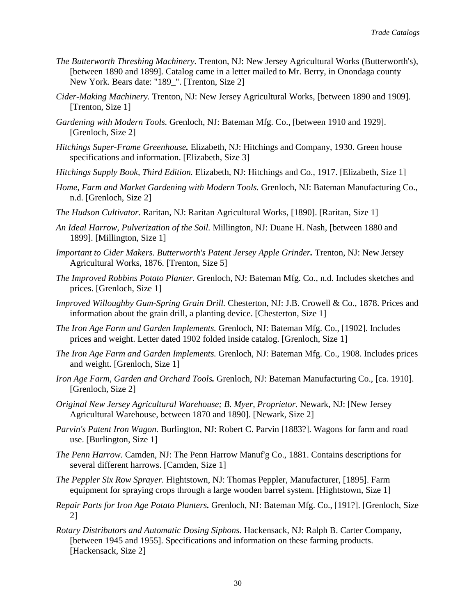- *The Butterworth Threshing Machinery.* Trenton, NJ: New Jersey Agricultural Works (Butterworth's), [between 1890 and 1899]. Catalog came in a letter mailed to Mr. Berry, in Onondaga county New York. Bears date: "189 ". [Trenton, Size 2]
- *Cider-Making Machinery.* Trenton, NJ: New Jersey Agricultural Works, [between 1890 and 1909]. [Trenton, Size 1]
- *Gardening with Modern Tools.* Grenloch, NJ: Bateman Mfg. Co., [between 1910 and 1929]. [Grenloch, Size 2]
- *Hitchings Super-Frame Greenhouse.* Elizabeth, NJ: Hitchings and Company, 1930. Green house specifications and information. [Elizabeth, Size 3]
- *Hitchings Supply Book, Third Edition.* Elizabeth, NJ: Hitchings and Co., 1917. [Elizabeth, Size 1]
- *Home, Farm and Market Gardening with Modern Tools.* Grenloch, NJ: Bateman Manufacturing Co., n.d. [Grenloch, Size 2]
- *The Hudson Cultivator.* Raritan, NJ: Raritan Agricultural Works, [1890]. [Raritan, Size 1]
- *An Ideal Harrow, Pulverization of the Soil.* Millington, NJ: Duane H. Nash, [between 1880 and 1899]. [Millington, Size 1]
- *Important to Cider Makers. Butterworth's Patent Jersey Apple Grinder.* Trenton, NJ: New Jersey Agricultural Works, 1876. [Trenton, Size 5]
- *The Improved Robbins Potato Planter.* Grenloch, NJ: Bateman Mfg. Co., n.d. Includes sketches and prices. [Grenloch, Size 1]
- *Improved Willoughby Gum-Spring Grain Drill.* Chesterton, NJ: J.B. Crowell & Co., 1878. Prices and information about the grain drill, a planting device. [Chesterton, Size 1]
- *The Iron Age Farm and Garden Implements.* Grenloch, NJ: Bateman Mfg. Co., [1902]. Includes prices and weight. Letter dated 1902 folded inside catalog. [Grenloch, Size 1]
- *The Iron Age Farm and Garden Implements.* Grenloch, NJ: Bateman Mfg. Co., 1908. Includes prices and weight. [Grenloch, Size 1]
- *Iron Age Farm, Garden and Orchard Tools.* Grenloch, NJ: Bateman Manufacturing Co., [ca. 1910]. [Grenloch, Size 2]
- *Original New Jersey Agricultural Warehouse; B. Myer, Proprietor.* Newark, NJ: [New Jersey Agricultural Warehouse, between 1870 and 1890]. [Newark, Size 2]
- *Parvin's Patent Iron Wagon.* Burlington, NJ: Robert C. Parvin [1883?]. Wagons for farm and road use. [Burlington, Size 1]
- *The Penn Harrow.* Camden, NJ: The Penn Harrow Manuf'g Co., 1881. Contains descriptions for several different harrows. [Camden, Size 1]
- *The Peppler Six Row Sprayer.* Hightstown, NJ: Thomas Peppler, Manufacturer, [1895]. Farm equipment for spraying crops through a large wooden barrel system. [Hightstown, Size 1]
- *Repair Parts for Iron Age Potato Planters.* Grenloch, NJ: Bateman Mfg. Co., [191?]. [Grenloch, Size 2]
- *Rotary Distributors and Automatic Dosing Siphons.* Hackensack, NJ: Ralph B. Carter Company, [between 1945 and 1955]. Specifications and information on these farming products. [Hackensack, Size 2]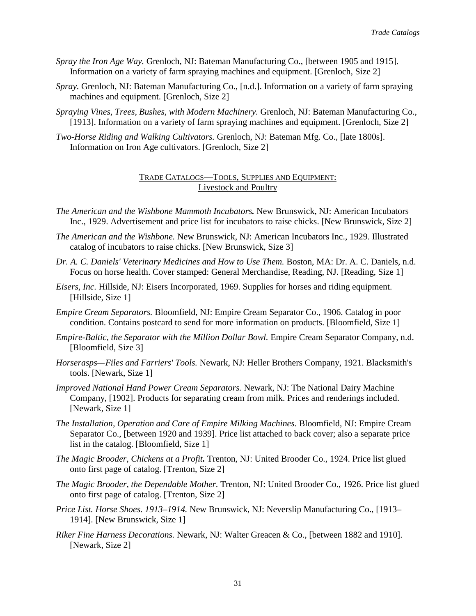- *Spray the Iron Age Way.* Grenloch, NJ: Bateman Manufacturing Co., [between 1905 and 1915]. Information on a variety of farm spraying machines and equipment. [Grenloch, Size 2]
- *Spray.* Grenloch, NJ: Bateman Manufacturing Co., [n.d.]. Information on a variety of farm spraying machines and equipment. [Grenloch, Size 2]
- *Spraying Vines, Trees, Bushes, with Modern Machinery.* Grenloch, NJ: Bateman Manufacturing Co., [1913]. Information on a variety of farm spraying machines and equipment. [Grenloch, Size 2]
- *Two-Horse Riding and Walking Cultivators.* Grenloch, NJ: Bateman Mfg. Co., [late 1800s]. Information on Iron Age cultivators. [Grenloch, Size 2]

## TRADE CATALOGS—TOOLS, SUPPLIES AND EQUIPMENT: Livestock and Poultry

- *The American and the Wishbone Mammoth Incubators.* New Brunswick, NJ: American Incubators Inc., 1929. Advertisement and price list for incubators to raise chicks. [New Brunswick, Size 2]
- *The American and the Wishbone.* New Brunswick, NJ: American Incubators Inc., 1929. Illustrated catalog of incubators to raise chicks. [New Brunswick, Size 3]
- *Dr. A. C. Daniels' Veterinary Medicines and How to Use Them.* Boston, MA: Dr. A. C. Daniels, n.d. Focus on horse health. Cover stamped: General Merchandise, Reading, NJ. [Reading, Size 1]
- *Eisers, Inc.* Hillside, NJ: Eisers Incorporated, 1969. Supplies for horses and riding equipment. [Hillside, Size 1]
- *Empire Cream Separators.* Bloomfield, NJ: Empire Cream Separator Co., 1906. Catalog in poor condition. Contains postcard to send for more information on products. [Bloomfield, Size 1]
- *Empire-Baltic, the Separator with the Million Dollar Bowl.* Empire Cream Separator Company, n.d. [Bloomfield, Size 3]
- *Horserasps—Files and Farriers' Tools.* Newark, NJ: Heller Brothers Company, 1921. Blacksmith's tools. [Newark, Size 1]
- *Improved National Hand Power Cream Separators.* Newark, NJ: The National Dairy Machine Company, [1902]. Products for separating cream from milk. Prices and renderings included. [Newark, Size 1]
- *The Installation, Operation and Care of Empire Milking Machines.* Bloomfield, NJ: Empire Cream Separator Co., [between 1920 and 1939]. Price list attached to back cover; also a separate price list in the catalog. [Bloomfield, Size 1]
- *The Magic Brooder, Chickens at a Profit.* Trenton, NJ: United Brooder Co., 1924. Price list glued onto first page of catalog. [Trenton, Size 2]
- *The Magic Brooder, the Dependable Mother.* Trenton, NJ: United Brooder Co., 1926. Price list glued onto first page of catalog. [Trenton, Size 2]
- *Price List. Horse Shoes. 1913–1914.* New Brunswick, NJ: Neverslip Manufacturing Co., [1913– 1914]. [New Brunswick, Size 1]
- *Riker Fine Harness Decorations.* Newark, NJ: Walter Greacen & Co., [between 1882 and 1910]. [Newark, Size 2]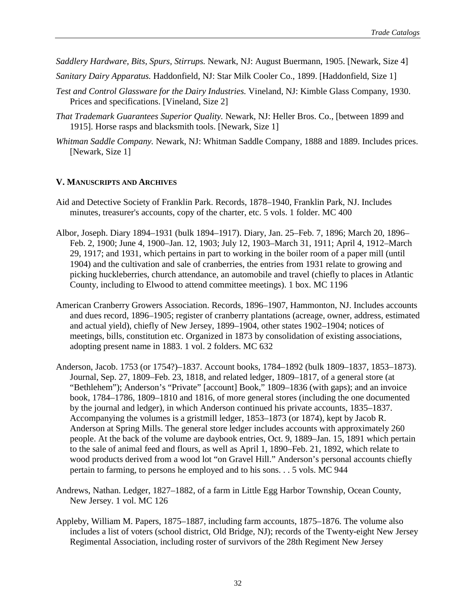*Saddlery Hardware, Bits, Spurs, Stirrups.* Newark, NJ: August Buermann, 1905. [Newark, Size 4]

- *Sanitary Dairy Apparatus.* Haddonfield, NJ: Star Milk Cooler Co., 1899. [Haddonfield, Size 1]
- *Test and Control Glassware for the Dairy Industries.* Vineland, NJ: Kimble Glass Company, 1930. Prices and specifications. [Vineland, Size 2]
- *That Trademark Guarantees Superior Quality.* Newark, NJ: Heller Bros. Co., [between 1899 and 1915]. Horse rasps and blacksmith tools. [Newark, Size 1]
- *Whitman Saddle Company.* Newark, NJ: Whitman Saddle Company, 1888 and 1889. Includes prices. [Newark, Size 1]

# **V. MANUSCRIPTS AND ARCHIVES**

- Aid and Detective Society of Franklin Park. Records, 1878–1940, Franklin Park, NJ. Includes minutes, treasurer's accounts, copy of the charter, etc. 5 vols. 1 folder. MC 400
- Albor, Joseph. Diary 1894–1931 (bulk 1894–1917). Diary, Jan. 25–Feb. 7, 1896; March 20, 1896– Feb. 2, 1900; June 4, 1900–Jan. 12, 1903; July 12, 1903–March 31, 1911; April 4, 1912–March 29, 1917; and 1931, which pertains in part to working in the boiler room of a paper mill (until 1904) and the cultivation and sale of cranberries, the entries from 1931 relate to growing and picking huckleberries, church attendance, an automobile and travel (chiefly to places in Atlantic County, including to Elwood to attend committee meetings). 1 box. MC 1196
- American Cranberry Growers Association. Records, 1896–1907, Hammonton, NJ. Includes accounts and dues record, 1896–1905; register of cranberry plantations (acreage, owner, address, estimated and actual yield), chiefly of New Jersey, 1899–1904, other states 1902–1904; notices of meetings, bills, constitution etc. Organized in 1873 by consolidation of existing associations, adopting present name in 1883. 1 vol. 2 folders. MC 632
- Anderson, Jacob. 1753 (or 1754?)–1837. Account books, 1784–1892 (bulk 1809–1837, 1853–1873). Journal, Sep. 27, 1809–Feb. 23, 1818, and related ledger, 1809–1817, of a general store (at "Bethlehem"); Anderson's "Private" [account] Book," 1809–1836 (with gaps); and an invoice book, 1784–1786, 1809–1810 and 1816, of more general stores (including the one documented by the journal and ledger), in which Anderson continued his private accounts, 1835–1837. Accompanying the volumes is a gristmill ledger, 1853–1873 (or 1874), kept by Jacob R. Anderson at Spring Mills. The general store ledger includes accounts with approximately 260 people. At the back of the volume are daybook entries, Oct. 9, 1889–Jan. 15, 1891 which pertain to the sale of animal feed and flours, as well as April 1, 1890–Feb. 21, 1892, which relate to wood products derived from a wood lot "on Gravel Hill." Anderson's personal accounts chiefly pertain to farming, to persons he employed and to his sons. . . 5 vols. MC 944
- Andrews, Nathan. Ledger, 1827–1882, of a farm in Little Egg Harbor Township, Ocean County, New Jersey. 1 vol. MC 126
- Appleby, William M. Papers, 1875–1887, including farm accounts, 1875–1876. The volume also includes a list of voters (school district, Old Bridge, NJ); records of the Twenty-eight New Jersey Regimental Association, including roster of survivors of the 28th Regiment New Jersey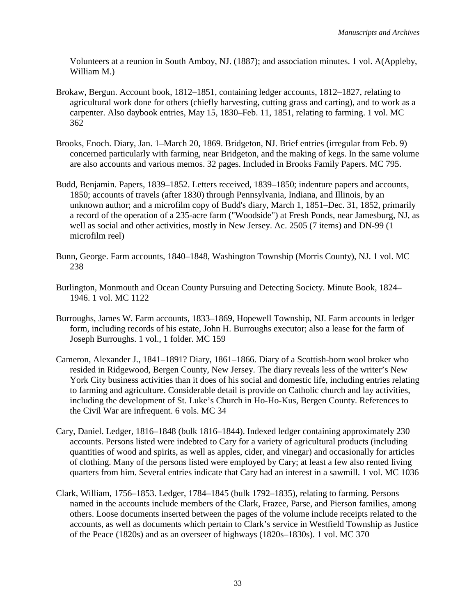Volunteers at a reunion in South Amboy, NJ. (1887); and association minutes. 1 vol. A(Appleby, William M.)

- Brokaw, Bergun. Account book, 1812–1851, containing ledger accounts, 1812–1827, relating to agricultural work done for others (chiefly harvesting, cutting grass and carting), and to work as a carpenter. Also daybook entries, May 15, 1830–Feb. 11, 1851, relating to farming. 1 vol. MC 362
- Brooks, Enoch. Diary, Jan. 1–March 20, 1869. Bridgeton, NJ. Brief entries (irregular from Feb. 9) concerned particularly with farming, near Bridgeton, and the making of kegs. In the same volume are also accounts and various memos. 32 pages. Included in Brooks Family Papers. MC 795.
- Budd, Benjamin. Papers, 1839–1852. Letters received, 1839–1850; indenture papers and accounts, 1850; accounts of travels (after 1830) through Pennsylvania, Indiana, and Illinois, by an unknown author; and a microfilm copy of Budd's diary, March 1, 1851–Dec. 31, 1852, primarily a record of the operation of a 235-acre farm ("Woodside") at Fresh Ponds, near Jamesburg, NJ, as well as social and other activities, mostly in New Jersey. Ac. 2505 (7 items) and DN-99 (1 microfilm reel)
- Bunn, George. Farm accounts, 1840–1848, Washington Township (Morris County), NJ. 1 vol. MC 238
- Burlington, Monmouth and Ocean County Pursuing and Detecting Society. Minute Book, 1824– 1946. 1 vol. MC 1122
- Burroughs, James W. Farm accounts, 1833–1869, Hopewell Township, NJ. Farm accounts in ledger form, including records of his estate, John H. Burroughs executor; also a lease for the farm of Joseph Burroughs. 1 vol., 1 folder. MC 159
- Cameron, Alexander J., 1841–1891? Diary, 1861–1866. Diary of a Scottish-born wool broker who resided in Ridgewood, Bergen County, New Jersey. The diary reveals less of the writer's New York City business activities than it does of his social and domestic life, including entries relating to farming and agriculture. Considerable detail is provide on Catholic church and lay activities, including the development of St. Luke's Church in Ho-Ho-Kus, Bergen County. References to the Civil War are infrequent. 6 vols. MC 34
- Cary, Daniel. Ledger, 1816–1848 (bulk 1816–1844). Indexed ledger containing approximately 230 accounts. Persons listed were indebted to Cary for a variety of agricultural products (including quantities of wood and spirits, as well as apples, cider, and vinegar) and occasionally for articles of clothing. Many of the persons listed were employed by Cary; at least a few also rented living quarters from him. Several entries indicate that Cary had an interest in a sawmill. 1 vol. MC 1036
- Clark, William, 1756–1853. Ledger, 1784–1845 (bulk 1792–1835), relating to farming. Persons named in the accounts include members of the Clark, Frazee, Parse, and Pierson families, among others. Loose documents inserted between the pages of the volume include receipts related to the accounts, as well as documents which pertain to Clark's service in Westfield Township as Justice of the Peace (1820s) and as an overseer of highways (1820s–1830s). 1 vol. MC 370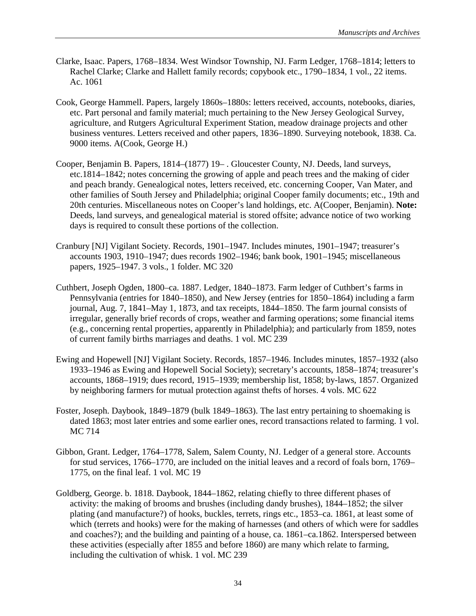- Clarke, Isaac. Papers, 1768–1834. West Windsor Township, NJ. Farm Ledger, 1768–1814; letters to Rachel Clarke; Clarke and Hallett family records; copybook etc., 1790–1834, 1 vol., 22 items. Ac. 1061
- Cook, George Hammell. Papers, largely 1860s–1880s: letters received, accounts, notebooks, diaries, etc. Part personal and family material; much pertaining to the New Jersey Geological Survey, agriculture, and Rutgers Agricultural Experiment Station, meadow drainage projects and other business ventures. Letters received and other papers, 1836–1890. Surveying notebook, 1838. Ca. 9000 items. A(Cook, George H.)
- Cooper, Benjamin B. Papers, 1814–(1877) 19– . Gloucester County, NJ. Deeds, land surveys, etc.1814–1842; notes concerning the growing of apple and peach trees and the making of cider and peach brandy. Genealogical notes, letters received, etc. concerning Cooper, Van Mater, and other families of South Jersey and Philadelphia; original Cooper family documents; etc., 19th and 20th centuries. Miscellaneous notes on Cooper's land holdings, etc. A(Cooper, Benjamin). **Note:** Deeds, land surveys, and genealogical material is stored offsite; advance notice of two working days is required to consult these portions of the collection.
- Cranbury [NJ] Vigilant Society. Records, 1901–1947. Includes minutes, 1901–1947; treasurer's accounts 1903, 1910–1947; dues records 1902–1946; bank book, 1901–1945; miscellaneous papers, 1925–1947. 3 vols., 1 folder. MC 320
- Cuthbert, Joseph Ogden, 1800–ca. 1887. Ledger, 1840–1873. Farm ledger of Cuthbert's farms in Pennsylvania (entries for 1840–1850), and New Jersey (entries for 1850–1864) including a farm journal, Aug. 7, 1841–May 1, 1873, and tax receipts, 1844–1850. The farm journal consists of irregular, generally brief records of crops, weather and farming operations; some financial items (e.g., concerning rental properties, apparently in Philadelphia); and particularly from 1859, notes of current family births marriages and deaths. 1 vol. MC 239
- Ewing and Hopewell [NJ] Vigilant Society. Records, 1857–1946. Includes minutes, 1857–1932 (also 1933–1946 as Ewing and Hopewell Social Society); secretary's accounts, 1858–1874; treasurer's accounts, 1868–1919; dues record, 1915–1939; membership list, 1858; by-laws, 1857. Organized by neighboring farmers for mutual protection against thefts of horses. 4 vols. MC 622
- Foster, Joseph. Daybook, 1849–1879 (bulk 1849–1863). The last entry pertaining to shoemaking is dated 1863; most later entries and some earlier ones, record transactions related to farming. 1 vol. MC 714
- Gibbon, Grant. Ledger, 1764–1778, Salem, Salem County, NJ. Ledger of a general store. Accounts for stud services, 1766–1770, are included on the initial leaves and a record of foals born, 1769– 1775, on the final leaf. 1 vol. MC 19
- Goldberg, George. b. 1818. Daybook, 1844–1862, relating chiefly to three different phases of activity: the making of brooms and brushes (including dandy brushes), 1844–1852; the silver plating (and manufacture?) of hooks, buckles, terrets, rings etc., 1853–ca. 1861, at least some of which (terrets and hooks) were for the making of harnesses (and others of which were for saddles and coaches?); and the building and painting of a house, ca. 1861–ca.1862. Interspersed between these activities (especially after 1855 and before 1860) are many which relate to farming, including the cultivation of whisk. 1 vol. MC 239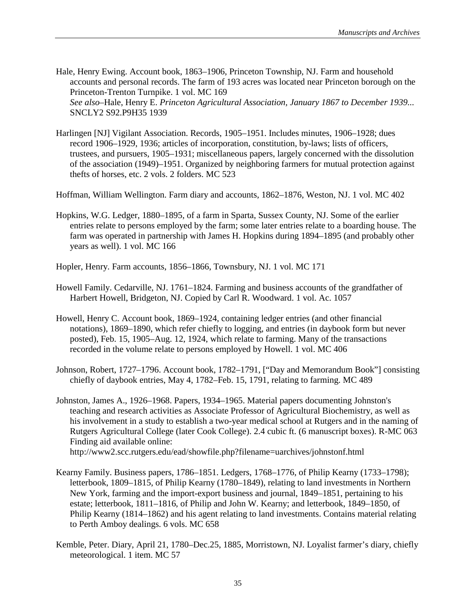- Hale, Henry Ewing. Account book, 1863–1906, Princeton Township, NJ. Farm and household accounts and personal records. The farm of 193 acres was located near Princeton borough on the Princeton-Trenton Turnpike. 1 vol. MC 169 *See also*–Hale, Henry E. *Princeton Agricultural Association, January 1867 to December 1939...* SNCLY2 S92.P9H35 1939
- Harlingen [NJ] Vigilant Association. Records, 1905–1951. Includes minutes, 1906–1928; dues record 1906–1929, 1936; articles of incorporation, constitution, by-laws; lists of officers, trustees, and pursuers, 1905–1931; miscellaneous papers, largely concerned with the dissolution of the association (1949)–1951. Organized by neighboring farmers for mutual protection against thefts of horses, etc. 2 vols. 2 folders. MC 523
- Hoffman, William Wellington. Farm diary and accounts, 1862–1876, Weston, NJ. 1 vol. MC 402
- Hopkins, W.G. Ledger, 1880–1895, of a farm in Sparta, Sussex County, NJ. Some of the earlier entries relate to persons employed by the farm; some later entries relate to a boarding house. The farm was operated in partnership with James H. Hopkins during 1894–1895 (and probably other years as well). 1 vol. MC 166
- Hopler, Henry. Farm accounts, 1856–1866, Townsbury, NJ. 1 vol. MC 171
- Howell Family. Cedarville, NJ. 1761–1824. Farming and business accounts of the grandfather of Harbert Howell, Bridgeton, NJ. Copied by Carl R. Woodward. 1 vol. Ac. 1057
- Howell, Henry C. Account book, 1869–1924, containing ledger entries (and other financial notations), 1869–1890, which refer chiefly to logging, and entries (in daybook form but never posted), Feb. 15, 1905–Aug. 12, 1924, which relate to farming. Many of the transactions recorded in the volume relate to persons employed by Howell. 1 vol. MC 406
- Johnson, Robert, 1727–1796. Account book, 1782–1791, ["Day and Memorandum Book"] consisting chiefly of daybook entries, May 4, 1782–Feb. 15, 1791, relating to farming. MC 489
- Johnston, James A., 1926–1968. Papers, 1934–1965. Material papers documenting Johnston's teaching and research activities as Associate Professor of Agricultural Biochemistry, as well as his involvement in a study to establish a two-year medical school at Rutgers and in the naming of Rutgers Agricultural College (later Cook College). 2.4 cubic ft. (6 manuscript boxes). R-MC 063 Finding aid available online: http://www2.scc.rutgers.edu/ead/showfile.php?filename=uarchives/johnstonf.html
- Kearny Family. Business papers, 1786–1851. Ledgers, 1768–1776, of Philip Kearny (1733–1798); letterbook, 1809–1815, of Philip Kearny (1780–1849), relating to land investments in Northern New York, farming and the import-export business and journal, 1849–1851, pertaining to his estate; letterbook, 1811–1816, of Philip and John W. Kearny; and letterbook, 1849–1850, of Philip Kearny (1814–1862) and his agent relating to land investments. Contains material relating to Perth Amboy dealings. 6 vols. MC 658
- Kemble, Peter. Diary, April 21, 1780–Dec.25, 1885, Morristown, NJ. Loyalist farmer's diary, chiefly meteorological. 1 item. MC 57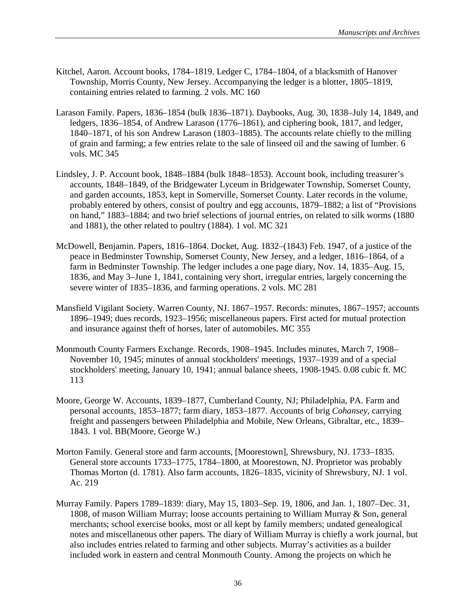- Kitchel, Aaron. Account books, 1784–1819. Ledger C, 1784–1804, of a blacksmith of Hanover Township, Morris County, New Jersey. Accompanying the ledger is a blotter, 1805–1819, containing entries related to farming. 2 vols. MC 160
- Larason Family. Papers, 1836–1854 (bulk 1836–1871). Daybooks, Aug. 30, 1838–July 14, 1849, and ledgers, 1836–1854, of Andrew Larason (1776–1861), and ciphering book, 1817, and ledger, 1840–1871, of his son Andrew Larason (1803–1885). The accounts relate chiefly to the milling of grain and farming; a few entries relate to the sale of linseed oil and the sawing of lumber. 6 vols. MC 345
- Lindsley, J. P. Account book, 1848–1884 (bulk 1848–1853). Account book, including treasurer's accounts, 1848–1849, of the Bridgewater Lyceum in Bridgewater Township, Somerset County, and garden accounts, 1853, kept in Somerville, Somerset County. Later records in the volume, probably entered by others, consist of poultry and egg accounts, 1879–1882; a list of "Provisions on hand," 1883–1884; and two brief selections of journal entries, on related to silk worms (1880 and 1881), the other related to poultry (1884). 1 vol. MC 321
- McDowell, Benjamin. Papers, 1816–1864. Docket, Aug. 1832–(1843) Feb. 1947, of a justice of the peace in Bedminster Township, Somerset County, New Jersey, and a ledger, 1816–1864, of a farm in Bedminster Township. The ledger includes a one page diary, Nov. 14, 1835–Aug. 15, 1836, and May 3–June 1, 1841, containing very short, irregular entries, largely concerning the severe winter of 1835–1836, and farming operations. 2 vols. MC 281
- Mansfield Vigilant Society. Warren County, NJ. 1867–1957. Records: minutes, 1867–1957; accounts 1896–1949; dues records, 1923–1956; miscellaneous papers. First acted for mutual protection and insurance against theft of horses, later of automobiles. MC 355
- Monmouth County Farmers Exchange. Records, 1908–1945. Includes minutes, March 7, 1908– November 10, 1945; minutes of annual stockholders' meetings, 1937–1939 and of a special stockholders' meeting, January 10, 1941; annual balance sheets, 1908-1945. 0.08 cubic ft. MC 113
- Moore, George W. Accounts, 1839–1877, Cumberland County, NJ; Philadelphia, PA. Farm and personal accounts, 1853–1877; farm diary, 1853–1877. Accounts of brig *Cohansey*, carrying freight and passengers between Philadelphia and Mobile, New Orleans, Gibraltar, etc., 1839– 1843. 1 vol. BB(Moore, George W.)
- Morton Family. General store and farm accounts, [Moorestown], Shrewsbury, NJ. 1733–1835. General store accounts 1733–1775, 1784–1800, at Moorestown, NJ. Proprietor was probably Thomas Morton (d. 1781). Also farm accounts, 1826–1835, vicinity of Shrewsbury, NJ. 1 vol. Ac. 219
- Murray Family. Papers 1789–1839: diary, May 15, 1803–Sep. 19, 1806, and Jan. 1, 1807–Dec. 31, 1808, of mason William Murray; loose accounts pertaining to William Murray & Son, general merchants; school exercise books, most or all kept by family members; undated genealogical notes and miscellaneous other papers. The diary of William Murray is chiefly a work journal, but also includes entries related to farming and other subjects. Murray's activities as a builder included work in eastern and central Monmouth County. Among the projects on which he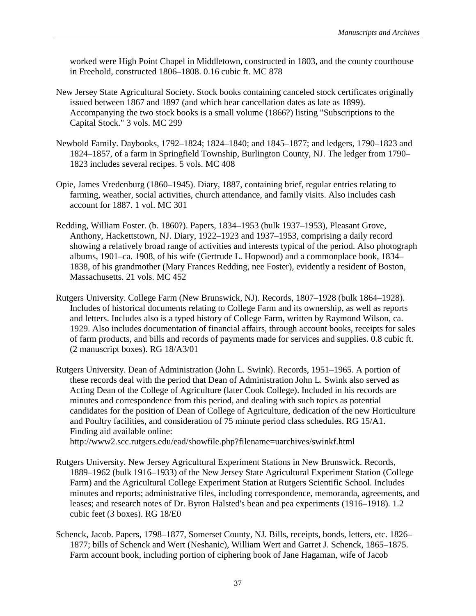worked were High Point Chapel in Middletown, constructed in 1803, and the county courthouse in Freehold, constructed 1806–1808. 0.16 cubic ft. MC 878

- New Jersey State Agricultural Society. Stock books containing canceled stock certificates originally issued between 1867 and 1897 (and which bear cancellation dates as late as 1899). Accompanying the two stock books is a small volume (1866?) listing "Subscriptions to the Capital Stock." 3 vols. MC 299
- Newbold Family. Daybooks, 1792–1824; 1824–1840; and 1845–1877; and ledgers, 1790–1823 and 1824–1857, of a farm in Springfield Township, Burlington County, NJ. The ledger from 1790– 1823 includes several recipes. 5 vols. MC 408
- Opie, James Vredenburg (1860–1945). Diary, 1887, containing brief, regular entries relating to farming, weather, social activities, church attendance, and family visits. Also includes cash account for 1887. 1 vol. MC 301
- Redding, William Foster. (b. 1860?). Papers, 1834–1953 (bulk 1937–1953), Pleasant Grove, Anthony, Hackettstown, NJ. Diary, 1922–1923 and 1937–1953, comprising a daily record showing a relatively broad range of activities and interests typical of the period. Also photograph albums, 1901–ca. 1908, of his wife (Gertrude L. Hopwood) and a commonplace book, 1834– 1838, of his grandmother (Mary Frances Redding, nee Foster), evidently a resident of Boston, Massachusetts. 21 vols. MC 452
- Rutgers University. College Farm (New Brunswick, NJ). Records, 1807–1928 (bulk 1864–1928). Includes of historical documents relating to College Farm and its ownership, as well as reports and letters. Includes also is a typed history of College Farm, written by Raymond Wilson, ca. 1929. Also includes documentation of financial affairs, through account books, receipts for sales of farm products, and bills and records of payments made for services and supplies. 0.8 cubic ft. (2 manuscript boxes). RG 18/A3/01
- Rutgers University. Dean of Administration (John L. Swink). Records, 1951–1965. A portion of these records deal with the period that Dean of Administration John L. Swink also served as Acting Dean of the College of Agriculture (later Cook College). Included in his records are minutes and correspondence from this period, and dealing with such topics as potential candidates for the position of Dean of College of Agriculture, dedication of the new Horticulture and Poultry facilities, and consideration of 75 minute period class schedules. RG 15/A1. Finding aid available online: http://www2.scc.rutgers.edu/ead/showfile.php?filename=uarchives/swinkf.html
	-
- Rutgers University. New Jersey Agricultural Experiment Stations in New Brunswick. Records, 1889–1962 (bulk 1916–1933) of the New Jersey State Agricultural Experiment Station (College Farm) and the Agricultural College Experiment Station at Rutgers Scientific School. Includes minutes and reports; administrative files, including correspondence, memoranda, agreements, and leases; and research notes of Dr. Byron Halsted's bean and pea experiments (1916–1918). 1.2 cubic feet (3 boxes). RG 18/E0
- Schenck, Jacob. Papers, 1798–1877, Somerset County, NJ. Bills, receipts, bonds, letters, etc. 1826– 1877; bills of Schenck and Wert (Neshanic), William Wert and Garret J. Schenck, 1865–1875. Farm account book, including portion of ciphering book of Jane Hagaman, wife of Jacob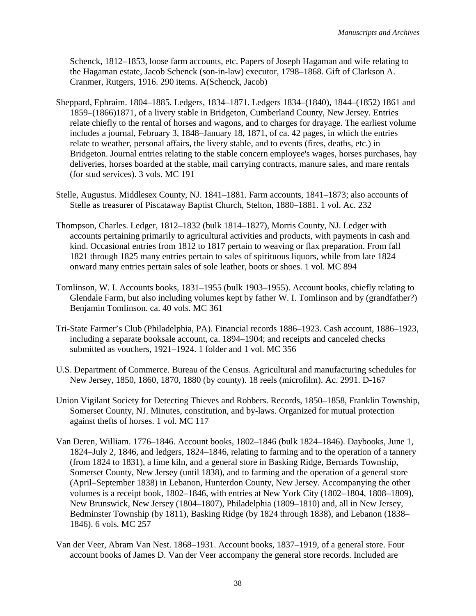Schenck, 1812–1853, loose farm accounts, etc. Papers of Joseph Hagaman and wife relating to the Hagaman estate, Jacob Schenck (son-in-law) executor, 1798–1868. Gift of Clarkson A. Cranmer, Rutgers, 1916. 290 items. A(Schenck, Jacob)

- Sheppard, Ephraim. 1804–1885. Ledgers, 1834–1871. Ledgers 1834–(1840), 1844–(1852) 1861 and 1859–(1866)1871, of a livery stable in Bridgeton, Cumberland County, New Jersey. Entries relate chiefly to the rental of horses and wagons, and to charges for drayage. The earliest volume includes a journal, February 3, 1848–January 18, 1871, of ca. 42 pages, in which the entries relate to weather, personal affairs, the livery stable, and to events (fires, deaths, etc.) in Bridgeton. Journal entries relating to the stable concern employee's wages, horses purchases, hay deliveries, horses boarded at the stable, mail carrying contracts, manure sales, and mare rentals (for stud services). 3 vols. MC 191
- Stelle, Augustus. Middlesex County, NJ. 1841–1881. Farm accounts, 1841–1873; also accounts of Stelle as treasurer of Piscataway Baptist Church, Stelton, 1880–1881. 1 vol. Ac. 232
- Thompson, Charles. Ledger, 1812–1832 (bulk 1814–1827), Morris County, NJ. Ledger with accounts pertaining primarily to agricultural activities and products, with payments in cash and kind. Occasional entries from 1812 to 1817 pertain to weaving or flax preparation. From fall 1821 through 1825 many entries pertain to sales of spirituous liquors, while from late 1824 onward many entries pertain sales of sole leather, boots or shoes. 1 vol. MC 894
- Tomlinson, W. I. Accounts books, 1831–1955 (bulk 1903–1955). Account books, chiefly relating to Glendale Farm, but also including volumes kept by father W. I. Tomlinson and by (grandfather?) Benjamin Tomlinson. ca. 40 vols. MC 361
- Tri-State Farmer's Club (Philadelphia, PA). Financial records 1886–1923. Cash account, 1886–1923, including a separate booksale account, ca. 1894–1904; and receipts and canceled checks submitted as vouchers, 1921–1924. 1 folder and 1 vol. MC 356
- U.S. Department of Commerce. Bureau of the Census. Agricultural and manufacturing schedules for New Jersey, 1850, 1860, 1870, 1880 (by county). 18 reels (microfilm). Ac. 2991. D-167
- Union Vigilant Society for Detecting Thieves and Robbers. Records, 1850–1858, Franklin Township, Somerset County, NJ. Minutes, constitution, and by-laws. Organized for mutual protection against thefts of horses. 1 vol. MC 117
- Van Deren, William. 1776–1846. Account books, 1802–1846 (bulk 1824–1846). Daybooks, June 1, 1824–July 2, 1846, and ledgers, 1824–1846, relating to farming and to the operation of a tannery (from 1824 to 1831), a lime kiln, and a general store in Basking Ridge, Bernards Township, Somerset County, New Jersey (until 1838), and to farming and the operation of a general store (April–September 1838) in Lebanon, Hunterdon County, New Jersey. Accompanying the other volumes is a receipt book, 1802–1846, with entries at New York City (1802–1804, 1808–1809), New Brunswick, New Jersey (1804–1807), Philadelphia (1809–1810) and, all in New Jersey, Bedminster Township (by 1811), Basking Ridge (by 1824 through 1838), and Lebanon (1838– 1846). 6 vols. MC 257
- Van der Veer, Abram Van Nest. 1868–1931. Account books, 1837–1919, of a general store. Four account books of James D. Van der Veer accompany the general store records. Included are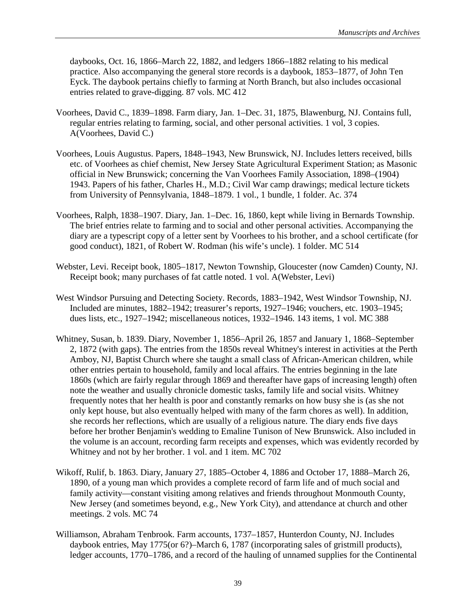daybooks, Oct. 16, 1866–March 22, 1882, and ledgers 1866–1882 relating to his medical practice. Also accompanying the general store records is a daybook, 1853–1877, of John Ten Eyck. The daybook pertains chiefly to farming at North Branch, but also includes occasional entries related to grave-digging. 87 vols. MC 412

- Voorhees, David C., 1839–1898. Farm diary, Jan. 1–Dec. 31, 1875, Blawenburg, NJ. Contains full, regular entries relating to farming, social, and other personal activities. 1 vol, 3 copies. A(Voorhees, David C.)
- Voorhees, Louis Augustus. Papers, 1848–1943, New Brunswick, NJ. Includes letters received, bills etc. of Voorhees as chief chemist, New Jersey State Agricultural Experiment Station; as Masonic official in New Brunswick; concerning the Van Voorhees Family Association, 1898–(1904) 1943. Papers of his father, Charles H., M.D.; Civil War camp drawings; medical lecture tickets from University of Pennsylvania, 1848–1879. 1 vol., 1 bundle, 1 folder. Ac. 374
- Voorhees, Ralph, 1838–1907. Diary, Jan. 1–Dec. 16, 1860, kept while living in Bernards Township. The brief entries relate to farming and to social and other personal activities. Accompanying the diary are a typescript copy of a letter sent by Voorhees to his brother, and a school certificate (for good conduct), 1821, of Robert W. Rodman (his wife's uncle). 1 folder. MC 514
- Webster, Levi. Receipt book, 1805–1817, Newton Township, Gloucester (now Camden) County, NJ. Receipt book; many purchases of fat cattle noted. 1 vol. A(Webster, Levi)
- West Windsor Pursuing and Detecting Society. Records, 1883–1942, West Windsor Township, NJ. Included are minutes, 1882–1942; treasurer's reports, 1927–1946; vouchers, etc. 1903–1945; dues lists, etc., 1927–1942; miscellaneous notices, 1932–1946. 143 items, 1 vol. MC 388
- Whitney, Susan, b. 1839. Diary, November 1, 1856–April 26, 1857 and January 1, 1868–September 2, 1872 (with gaps). The entries from the 1850s reveal Whitney's interest in activities at the Perth Amboy, NJ, Baptist Church where she taught a small class of African-American children, while other entries pertain to household, family and local affairs. The entries beginning in the late 1860s (which are fairly regular through 1869 and thereafter have gaps of increasing length) often note the weather and usually chronicle domestic tasks, family life and social visits. Whitney frequently notes that her health is poor and constantly remarks on how busy she is (as she not only kept house, but also eventually helped with many of the farm chores as well). In addition, she records her reflections, which are usually of a religious nature. The diary ends five days before her brother Benjamin's wedding to Emaline Tunison of New Brunswick. Also included in the volume is an account, recording farm receipts and expenses, which was evidently recorded by Whitney and not by her brother. 1 vol. and 1 item. MC 702
- Wikoff, Rulif, b. 1863. Diary, January 27, 1885–October 4, 1886 and October 17, 1888–March 26, 1890, of a young man which provides a complete record of farm life and of much social and family activity—constant visiting among relatives and friends throughout Monmouth County, New Jersey (and sometimes beyond, e.g., New York City), and attendance at church and other meetings. 2 vols. MC 74
- Williamson, Abraham Tenbrook. Farm accounts, 1737–1857, Hunterdon County, NJ. Includes daybook entries, May 1775(or 6?)–March 6, 1787 (incorporating sales of gristmill products), ledger accounts, 1770–1786, and a record of the hauling of unnamed supplies for the Continental